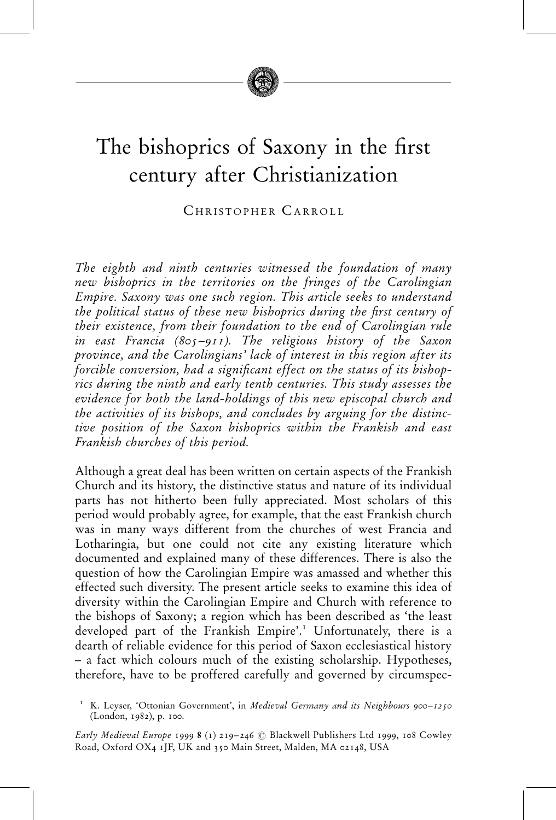

## The bishoprics of Saxony in the first century after Christianization

CHRISTOPHER CARROLL

The eighth and ninth centuries witnessed the foundation of many new bishoprics in the territories on the fringes of the Carolingian Empire. Saxony was one such region. This article seeks to understand the political status of these new bishoprics during the first century of their existence, from their foundation to the end of Carolingian rule in east Francia (805–911). The religious history of the Saxon province, and the Carolingians' lack of interest in this region after its forcible conversion, had a significant effect on the status of its bishoprics during the ninth and early tenth centuries. This study assesses the evidence for both the land-holdings of this new episcopal church and the activities of its bishops, and concludes by arguing for the distinctive position of the Saxon bishoprics within the Frankish and east Frankish churches of this period.

Although a great deal has been written on certain aspects of the Frankish Church and its history, the distinctive status and nature of its individual parts has not hitherto been fully appreciated. Most scholars of this period would probably agree, for example, that the east Frankish church was in many ways different from the churches of west Francia and Lotharingia, but one could not cite any existing literature which documented and explained many of these differences. There is also the question of how the Carolingian Empire was amassed and whether this effected such diversity. The present article seeks to examine this idea of diversity within the Carolingian Empire and Church with reference to the bishops of Saxony; a region which has been described as `the least developed part of the Frankish Empire'.<sup>1</sup> Unfortunately, there is a dearth of reliable evidence for this period of Saxon ecclesiastical history ± a fact which colours much of the existing scholarship. Hypotheses, therefore, have to be proffered carefully and governed by circumspec-

Early Medieval Europe 1999 8 (1) 219-246  $\odot$  Blackwell Publishers Ltd 1999, 108 Cowley Road, Oxford OX4 1JF, UK and 350 Main Street, Malden, MA 02148, USA

K. Leyser, 'Ottonian Government', in Medieval Germany and its Neighbours 900-1250 (London, 1982), p. 100.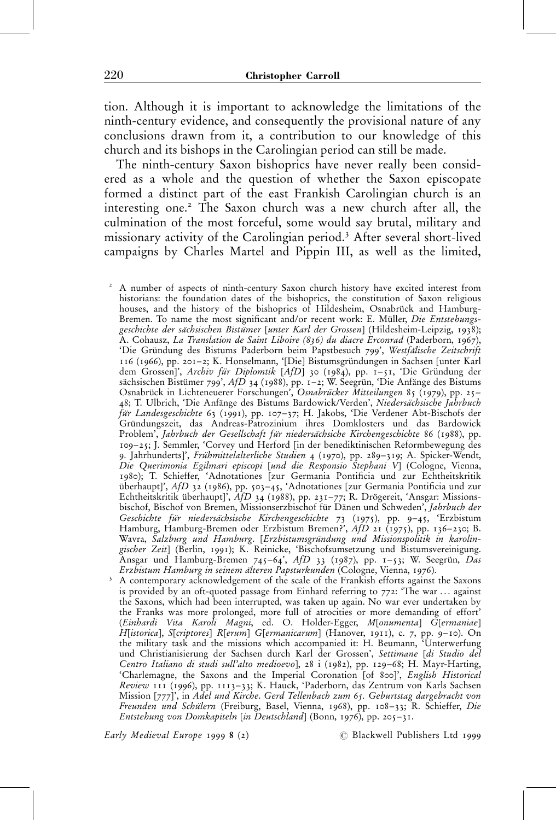tion. Although it is important to acknowledge the limitations of the ninth-century evidence, and consequently the provisional nature of any conclusions drawn from it, a contribution to our knowledge of this church and its bishops in the Carolingian period can still be made.

The ninth-century Saxon bishoprics have never really been considered as a whole and the question of whether the Saxon episcopate formed a distinct part of the east Frankish Carolingian church is an interesting one.<sup>2</sup> The Saxon church was a new church after all, the culmination of the most forceful, some would say brutal, military and missionary activity of the Carolingian period.<sup>3</sup> After several short-lived campaigns by Charles Martel and Pippin III, as well as the limited,

<sup>2</sup> A number of aspects of ninth-century Saxon church history have excited interest from historians: the foundation dates of the bishoprics, the constitution of Saxon religious houses, and the history of the bishoprics of Hildesheim, Osnabrück and Hamburg-Bremen. To name the most significant and/or recent work: E. Müller, Die Entstehungsgeschichte der sächsischen Bistümer [unter Karl der Grossen] (Hildesheim-Leipzig, 1938); A. Cohausz, La Translation de Saint Liboire (836) du diacre Erconrad (Paderborn, 1967), 'Die Gründung des Bistums Paderborn beim Papstbesuch 799', Westfälische Zeitschrift 116 (1966), pp. 201-2; K. Honselmann, '[Die] Bistumsgründungen in Sachsen [unter Karl dem Grossen]', Archiv für Diplomtik  $[AfD]$  30 (1984), pp. 1–51, 'Die Gründung der sächsischen Bistümer 799', AfD 34 (1988), pp. 1-2; W. Seegrün, 'Die Anfänge des Bistums Osnabrück in Lichteneuerer Forschungen', Osnabrücker Mitteilungen 85 (1979), pp. 25– 48; T. Ulbrich, 'Die Anfänge des Bistums Bardowick/Verden', Niedersächsische Jahrbuch für Landesgeschichte 63 (1991), pp. 107-37; H. Jakobs, 'Die Verdener Abt-Bischofs der Gründungszeit, das Andreas-Patrozinium ihres Domklosters und das Bardowick Problem', Jahrbuch der Gesellschaft für niedersächsiche Kirchengeschichte 86 (1988), pp. 109±25; J. Semmler, `Corvey und Herford [in der benediktinischen Reformbewegung des 9. Jahrhunderts]', Frühmittelalterliche Studien 4 (1970), pp. 289-319; A. Spicker-Wendt, Die Querimonia Egilmari episcopi [und die Responsio Stephani V] (Cologne, Vienna, 1980); T. Schieffer, 'Adnotationes [zur Germania Pontificia und zur Echtheitskritik überhaupt]',  $AfD$  32 (1986), pp. 503-45, 'Adnotationes [zur Germania Pontificia und zur Echtheitskritik überhaupt]', AfD 34 (1988), pp. 231-77; R. Drögereit, 'Ansgar: Missionsbischof, Bischof von Bremen, Missionserzbischof für Dänen und Schweden', Jahrbuch der Geschichte für niedersächsische Kirchengeschichte 73 (1975), pp. 9-45, 'Erzbistum Hamburg, Hamburg-Bremen oder Erzbistum Bremen?', AfD 21 (1975), pp. 136-230; B. Wavra, Salzburg und Hamburg. [Erzbistumsgründung und Missionspolitik in karolingischer Zeit] (Berlin, 1991); K. Reinicke, `Bischofsumsetzung und Bistumsvereinigung. Ansgar und Hamburg-Bremen 745-64', AfD 33 (1987), pp. 1-53; W. Seegrün, Das<br>Erzbistum Hamburg in seinem älteren Papsturkunden (Cologne, Vienna, 1976).

<sup>3</sup> A contemporary acknowledgement of the scale of the Frankish efforts against the Saxons is provided by an oft-quoted passage from Einhard referring to 772: 'The war ... against the Saxons, which had been interrupted, was taken up again. No war ever undertaken by the Franks was more prolonged, more full of atrocities or more demanding of effort' (Einhardi Vita Karoli Magni, ed. O. Holder-Egger, M[onumenta] G[ermaniae] H[istorica], S[criptores] R[erum] G[ermanicarum] (Hanover, 1911), c. 7, pp. 9-10). On the military task and the missions which accompanied it: H. Beumann, `Unterwerfung und Christianisierung der Sachsen durch Karl der Grossen', Settimane [di Studio del Centro Italiano di studi sull'alto medioevo], 28 i (1982), pp. 129-68; H. Mayr-Harting, `Charlemagne, the Saxons and the Imperial Coronation [of 800]', English Historical Review 111 (1996), pp. 1113-33; K. Hauck, 'Paderborn, das Zentrum von Karls Sachsen Mission [777]', in Adel und Kirche. Gerd Tellenbach zum 65. Geburtstag dargebracht von Freunden und Schülern (Freiburg, Basel, Vienna, 1968), pp. 108-33; R. Schieffer, Die Entstehung von Domkapiteln [in Deutschland] (Bonn, 1976), pp. 205-31.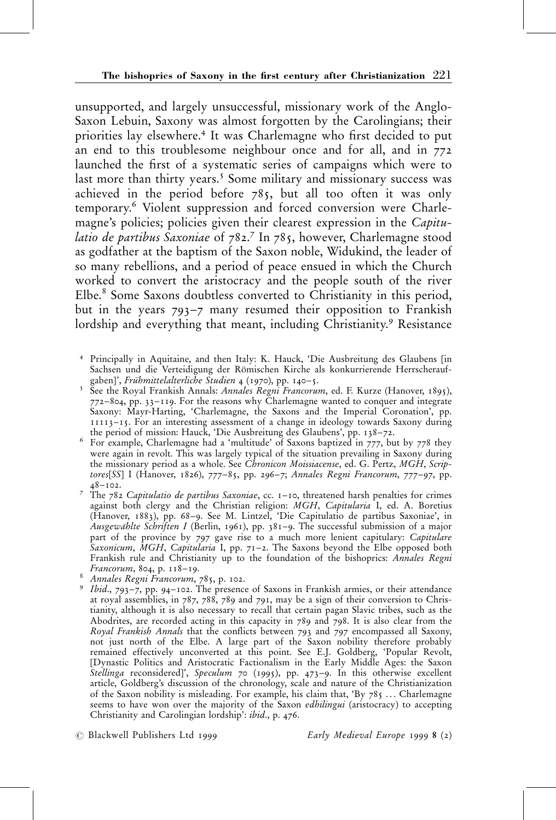unsupported, and largely unsuccessful, missionary work of the Anglo-Saxon Lebuin, Saxony was almost forgotten by the Carolingians; their priorities lay elsewhere.<sup>4</sup> It was Charlemagne who first decided to put an end to this troublesome neighbour once and for all, and in 772 launched the first of a systematic series of campaigns which were to last more than thirty years.<sup>5</sup> Some military and missionary success was achieved in the period before 785, but all too often it was only temporary.6 Violent suppression and forced conversion were Charlemagne's policies; policies given their clearest expression in the Capitulatio de partibus Saxoniae of 782.<sup>7</sup> In 785, however, Charlemagne stood as godfather at the baptism of the Saxon noble, Widukind, the leader of so many rebellions, and a period of peace ensued in which the Church worked to convert the aristocracy and the people south of the river Elbe.<sup>8</sup> Some Saxons doubtless converted to Christianity in this period, but in the years  $793-7$  many resumed their opposition to Frankish lordship and everything that meant, including Christianity.<sup>9</sup> Resistance

- <sup>4</sup> Principally in Aquitaine, and then Italy: K. Hauck, `Die Ausbreitung des Glaubens [in Sachsen und die Verteidigung der Römischen Kirche als konkurrierende Herrscherauf-
- gaben]', *Frühmittelalterliche Studien 4* (1970), pp. 140–5.<br><sup>5</sup> See the Royal Frankish Annals: *Annales Regni Francorum*, ed. F. Kurze (Hanover, 1895),  $772-804$ , pp.  $33-119$ . For the reasons why Charlemagne wanted to conquer and integrate Saxony: Mayr-Harting, 'Charlemagne, the Saxons and the Imperial Coronation', pp.  $11113 - 15$ . For an interesting assessment of a change in ideology towards Saxony during
- the period of mission: Hauck, 'Die Ausbreitung des Glaubens', pp. 138–72.<br><sup>6</sup> For example, Charlemagne had a 'multitude' of Saxons baptized in 777, but by 778 they were again in revolt. This was largely typical of the situation prevailing in Saxony during the missionary period as a whole. See Chronicon Moissiacense, ed. G. Pertz, MGH, Scriptores[SS] I (Hanover, 1826), 777-85, pp. 296-7; Annales Regni Francorum, 777-97, pp.
- $4^{8}-102.$ <br><sup>7</sup> The 782 Capitulatio de partibus Saxoniae, cc. 1-10, threatened harsh penalties for crimes against both clergy and the Christian religion: MGH, C*apitularia* I, ed. A. Boretius (Hanover, 1883), pp. 68±9. See M. Lintzel, `Die Capitulatio de partibus Saxoniae', in Ausgewählte Schriften I (Berlin, 1961), pp. 381-9. The successful submission of a major part of the province by 797 gave rise to a much more lenient capitulary: Capitulare Saxonicum,  $MGH$ , Capitularia I, pp. 71–2. The Saxons beyond the Elbe opposed both Frankish rule and Christianity up to the foundation of the bishoprics: Annales Regni<br>Francorum, 804, p. 118-19.
- 
- 8 Annales Regni Francorum, 785, p. 102.<br>9 Ibid., 793–7, pp. 94–102. The presence of Saxons in Frankish armies, or their attendance at royal assemblies, in 787, 788, 789 and 791, may be a sign of their conversion to Christianity, although it is also necessary to recall that certain pagan Slavic tribes, such as the Abodrites, are recorded acting in this capacity in 789 and 798. It is also clear from the Royal Frankish Annals that the conflicts between 793 and 797 encompassed all Saxony, not just north of the Elbe. A large part of the Saxon nobility therefore probably remained effectively unconverted at this point. See E.J. Goldberg, `Popular Revolt, [Dynastic Politics and Aristocratic Factionalism in the Early Middle Ages: the Saxon Stellinga reconsidered]', Speculum 70 (1995), pp. 473-9. In this otherwise excellent article, Goldberg's discussion of the chronology, scale and nature of the Christianization of the Saxon nobility is misleading. For example, his claim that, 'By  $785$  ... Charlemagne seems to have won over the majority of the Saxon edhilingui (aristocracy) to accepting Christianity and Carolingian lordship': ibid., p. 476.
- $\oslash$  Blackwell Publishers Ltd 1999  $\sc{Early}$  Medieval Europe 1999 8 (2)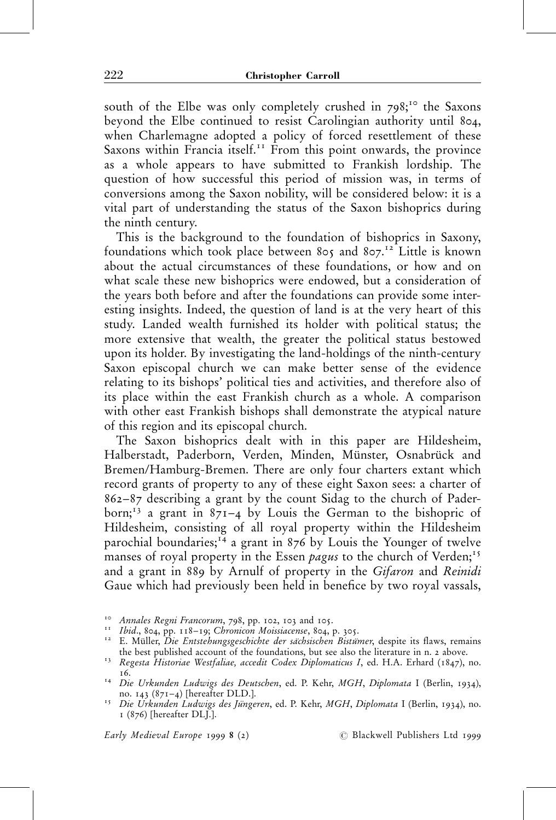south of the Elbe was only completely crushed in  $798$ ;<sup>10</sup> the Saxons beyond the Elbe continued to resist Carolingian authority until 804, when Charlemagne adopted a policy of forced resettlement of these Saxons within Francia itself.<sup>11</sup> From this point onwards, the province as a whole appears to have submitted to Frankish lordship. The question of how successful this period of mission was, in terms of conversions among the Saxon nobility, will be considered below: it is a vital part of understanding the status of the Saxon bishoprics during the ninth century.

This is the background to the foundation of bishoprics in Saxony, foundations which took place between 805 and 807.<sup>12</sup> Little is known about the actual circumstances of these foundations, or how and on what scale these new bishoprics were endowed, but a consideration of the years both before and after the foundations can provide some interesting insights. Indeed, the question of land is at the very heart of this study. Landed wealth furnished its holder with political status; the more extensive that wealth, the greater the political status bestowed upon its holder. By investigating the land-holdings of the ninth-century Saxon episcopal church we can make better sense of the evidence relating to its bishops' political ties and activities, and therefore also of its place within the east Frankish church as a whole. A comparison with other east Frankish bishops shall demonstrate the atypical nature of this region and its episcopal church.

The Saxon bishoprics dealt with in this paper are Hildesheim, Halberstadt, Paderborn, Verden, Minden, Münster, Osnabrück and Bremen/Hamburg-Bremen. There are only four charters extant which record grants of property to any of these eight Saxon sees: a charter of  $862-87$  describing a grant by the count Sidag to the church of Paderborn;<sup>13</sup> a grant in  $871-4$  by Louis the German to the bishopric of Hildesheim, consisting of all royal property within the Hildesheim parochial boundaries;<sup>14</sup> a grant in 876 by Louis the Younger of twelve manses of royal property in the Essen pagus to the church of Verden;<sup>15</sup> and a grant in 889 by Arnulf of property in the Gifaron and Reinidi Gaue which had previously been held in benefice by two royal vassals,

<sup>&</sup>lt;sup>10</sup> Annales Regni Francorum, 798, pp. 102, 103 and 105.<br><sup>11</sup> Ibid., 804, pp. 118–19; Chronicon Moissiacense, 804, p. 305.<br><sup>12</sup> E. Müller, *Die Entstehungsgeschichte der sächsischen Bistümer*, despite its flaws, remains<br><sup></sup>

<sup>&</sup>lt;sup>13</sup> Regesta Historiae Westfaliae, accedit Codex Diplomaticus I, ed. H.A. Erhard (1847), no.

<sup>16.&</sup>lt;br><sup>14</sup> Die Urkunden Ludwigs des Deutschen, ed. P. Kehr, *MGH, Diplomata* I (Berlin, 1934),<br>10. 143 (871–4) [hereafter DLD.].

<sup>&</sup>lt;sup>15</sup> Die Urkunden Ludwigs des Jüngeren, ed. P. Kehr, MGH, Diplomata I (Berlin, 1934), no. 1 (876) [hereafter DLJ.].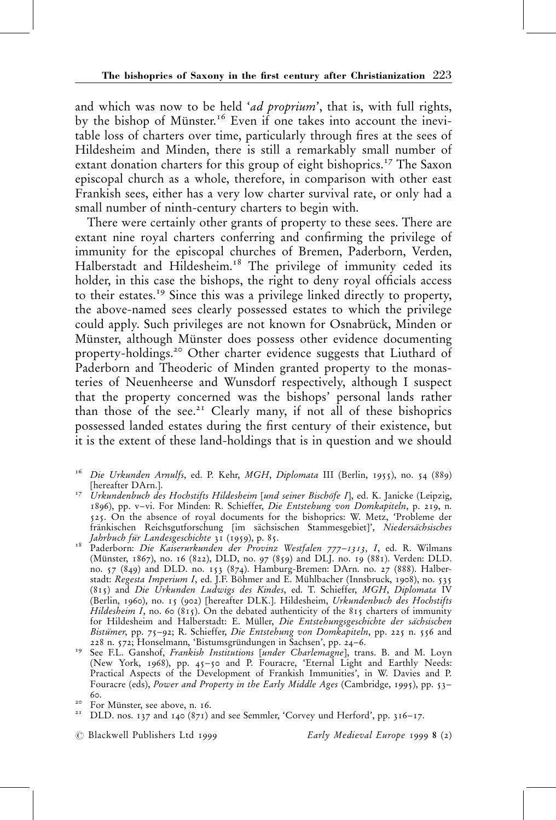and which was now to be held 'ad proprium', that is, with full rights, by the bishop of Münster.<sup>16</sup> Even if one takes into account the inevitable loss of charters over time, particularly through fires at the sees of Hildesheim and Minden, there is still a remarkably small number of extant donation charters for this group of eight bishoprics.<sup>17</sup> The Saxon episcopal church as a whole, therefore, in comparison with other east Frankish sees, either has a very low charter survival rate, or only had a small number of ninth-century charters to begin with.

There were certainly other grants of property to these sees. There are extant nine royal charters conferring and confirming the privilege of immunity for the episcopal churches of Bremen, Paderborn, Verden, Halberstadt and Hildesheim.<sup>18</sup> The privilege of immunity ceded its holder, in this case the bishops, the right to deny royal officials access to their estates.19 Since this was a privilege linked directly to property, the above-named sees clearly possessed estates to which the privilege could apply. Such privileges are not known for Osnabrück, Minden or Münster, although Münster does possess other evidence documenting property-holdings.<sup>20</sup> Other charter evidence suggests that Liuthard of Paderborn and Theoderic of Minden granted property to the monasteries of Neuenheerse and Wunsdorf respectively, although I suspect that the property concerned was the bishops' personal lands rather than those of the see.<sup>21</sup> Clearly many, if not all of these bishoprics possessed landed estates during the first century of their existence, but it is the extent of these land-holdings that is in question and we should

- <sup>16</sup> Die Urkunden Arnulfs, ed. P. Kehr, *MGH*, Diplomata III (Berlin, 1955), no. 54 (889)<br>[hereafter DArn.].
- $17$  Urkundenbuch des Hochstifts Hildesheim [und seiner Bischöfe I], ed. K. Janicke (Leipzig, 1896), pp. v-vi. For Minden: R. Schieffer, Die Entstehung von Domkapiteln, p. 219, n. 525. On the absence of royal documents for the bishoprics: W. Metz, `Probleme der fränkischen Reichsgutforschung [im sächsischen Stammesgebiet]', Niedersächsisches<br>Jahrbuch für Landesgeschichte 31 (1959), p. 85.
- Paderborn: Die Kaiserurkunden der Provinz Westfalen 777-1313, I, ed. R. Wilmans (Münster, 1867), no. 16 (822), DLD, no. 97 (859) and DLJ. no. 19 (881). Verden: DLD. no. 57 (849) and DLD. no. 153 (874). Hamburg-Bremen: DArn. no. 27 (888). Halberstadt: Regesta Imperium I, ed. J.F. Böhmer and E. Mühlbacher (Innsbruck, 1908), no. 535 (815) and Die Urkunden Ludwigs des Kindes, ed. T. Schieffer, MGH, Diplomata IV (Berlin, 1960), no. 15 (902) [hereafter DLK.]. Hildesheim, Urkundenbuch des Hochstifts Hildesheim I, no. 60 (815). On the debated authenticity of the 815 charters of immunity for Hildesheim and Halberstadt: E. Müller, Die Entstehungsgeschichte der sächsischen Bistümer, pp. 75-92; R. Schieffer, Die Entstehung von Domkapiteln, pp. 225 n. 556 and 228 n. 572; Honselmann, 'Bistumsgründungen in Sachsen', pp. 24-6.
- See F.L. Ganshof, Frankish Institutions [under Charlemagne], trans. B. and M. Loyn (New York, 1968), pp. 45-50 and P. Fouracre, 'Eternal Light and Earthly Needs: Practical Aspects of the Development of Frankish Immunities', in W. Davies and P. Fouracre (eds), Power and Property in the Early Middle Ages (Cambridge, 1995), pp. 53-60.<br><sup>20</sup> For Münster, see above, n. 16.<br><sup>21</sup> DLD. nos. 137 and 140 (871) and see Semmler, 'Corvey und Herford', pp. 316–17.
- 
- 
- # Blackwell Publishers Ltd 1999 Early Medieval Europe 1999 8 (2)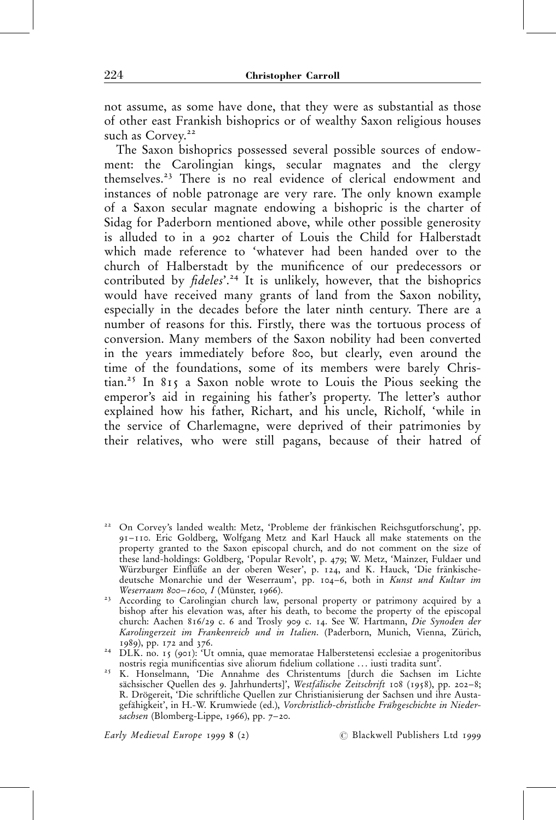not assume, as some have done, that they were as substantial as those of other east Frankish bishoprics or of wealthy Saxon religious houses such as Corvey.<sup>22</sup>

The Saxon bishoprics possessed several possible sources of endowment: the Carolingian kings, secular magnates and the clergy themselves.23 There is no real evidence of clerical endowment and instances of noble patronage are very rare. The only known example of a Saxon secular magnate endowing a bishopric is the charter of Sidag for Paderborn mentioned above, while other possible generosity is alluded to in a 902 charter of Louis the Child for Halberstadt which made reference to 'whatever had been handed over to the church of Halberstadt by the munificence of our predecessors or contributed by  $fideles'$ <sup>24</sup> It is unlikely, however, that the bishoprics would have received many grants of land from the Saxon nobility, especially in the decades before the later ninth century. There are a number of reasons for this. Firstly, there was the tortuous process of conversion. Many members of the Saxon nobility had been converted in the years immediately before 800, but clearly, even around the time of the foundations, some of its members were barely Christian.25 In 815 a Saxon noble wrote to Louis the Pious seeking the emperor's aid in regaining his father's property. The letter's author explained how his father, Richart, and his uncle, Richolf, `while in the service of Charlemagne, were deprived of their patrimonies by their relatives, who were still pagans, because of their hatred of

<sup>23</sup> According to Carolingian church law, personal property or patrimony acquired by a bishop after his elevation was, after his death, to become the property of the episcopal church: Aachen 816/29 c. 6 and Trosly 909 c. 14. See W. Hartmann, Die Synoden der Karolingerzeit im Frankenreich und in Italien. (Paderborn, Munich, Vienna, Zürich, 1989), pp. 172 and 376.

<sup>&</sup>lt;sup>22</sup> On Corvey's landed wealth: Metz, 'Probleme der fränkischen Reichsgutforschung', pp. 91-110. Eric Goldberg, Wolfgang Metz and Karl Hauck all make statements on the property granted to the Saxon episcopal church, and do not comment on the size of these land-holdings: Goldberg, `Popular Revolt', p. 479; W. Metz, `Mainzer, Fuldaer und Würzburger Einflüße an der oberen Weser', p. 124, and K. Hauck, 'Die fränkischedeutsche Monarchie und der Weserraum', pp. 104-6, both in Kunst und Kultur im<br>Weserraum 800-1600, I (Münster, 1966).

<sup>&</sup>lt;sup>24</sup> DLK. no. 15 (901): 'Ut omnia, quae memoratae Halberstetensi ecclesiae a progenitoribus

nostris regia munificentias sive aliorum fidelium collatione . . . iusti tradita sunt'.<br><sup>25</sup> K. Honselmann, 'Die Annahme des Christentums [durch die Sachsen im Lichte sächsischer Quellen des 9. Jahrhunderts]', Westfälische Zeitschrift 108 (1958), pp. 202-8; R. Drögereit, 'Die schriftliche Quellen zur Christianisierung der Sachsen und ihre Austagefähigkeit', in H.-W. Krumwiede (ed.), Vorchristlich-christliche Frühgeschichte in Nieder $sachsen$  (Blomberg-Lippe, 1966), pp.  $7-20$ .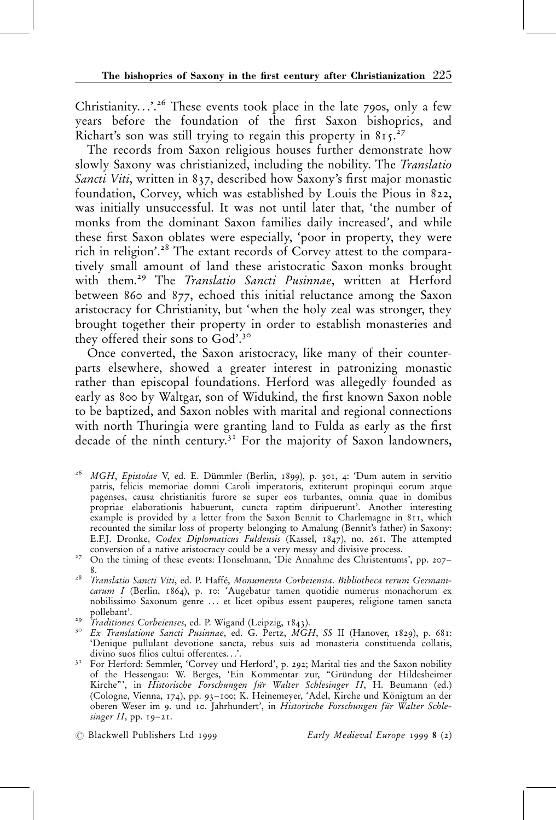Christianity....<sup>26</sup> These events took place in the late 790s, only a few years before the foundation of the first Saxon bishoprics, and Richart's son was still trying to regain this property in  $815.^{27}$ 

The records from Saxon religious houses further demonstrate how slowly Saxony was christianized, including the nobility. The Translatio Sancti Viti, written in 837, described how Saxony's first major monastic foundation, Corvey, which was established by Louis the Pious in 822, was initially unsuccessful. It was not until later that, 'the number of monks from the dominant Saxon families daily increased', and while these first Saxon oblates were especially, 'poor in property, they were rich in religion'.<sup>28</sup> The extant records of Corvey attest to the comparatively small amount of land these aristocratic Saxon monks brought with them.<sup>29</sup> The Translatio Sancti Pusinnae, written at Herford between 860 and 877, echoed this initial reluctance among the Saxon aristocracy for Christianity, but `when the holy zeal was stronger, they brought together their property in order to establish monasteries and they offered their sons to God'.30

Once converted, the Saxon aristocracy, like many of their counterparts elsewhere, showed a greater interest in patronizing monastic rather than episcopal foundations. Herford was allegedly founded as early as 800 by Waltgar, son of Widukind, the first known Saxon noble to be baptized, and Saxon nobles with marital and regional connections with north Thuringia were granting land to Fulda as early as the first decade of the ninth century.<sup>31</sup> For the majority of Saxon landowners,

- <sup>26</sup> MGH, Epistolae V, ed. E. Dümmler (Berlin, 1899), p. 301, 4: 'Dum autem in servitio patris, felicis memoriae domni Caroli imperatoris, extiterunt propinqui eorum atque pagenses, causa christianitis furore se super eos turbantes, omnia quae in domibus propriae elaborationis habuerunt, cuncta raptim diripuerunt'. Another interesting example is provided by a letter from the Saxon Bennit to Charlemagne in 811, which recounted the similar loss of property belonging to Amalung (Bennit's father) in Saxony: E.F.J. Dronke, *Codex Diplomaticus Fuldensis* (Kassel, 1847), no. 261. The attempted conversion of a native aristocracy could be a very messy and divisive process.
- <sup>27</sup> On the timing of these events: Honselmann, 'Die Annahme des Christentums', pp. 207-
- <sup>28</sup> Translatio Sancti Viti, ed. P. Haffé, Monumenta Corbeiensia. Bibliotheca rerum Germanicarum I (Berlin, 1864), p. 10: 'Augebatur tamen quotidie numerus monachorum ex nobilissimo Saxonum genre . . . et licet opibus essent pauperes, religione tamen sancta
- 
- <sup>29</sup> Traditiones Corbeienses, ed. P. Wigand (Leipzig, 1843).<br><sup>30</sup> Ex Translatione Sancti Pusinnae, ed. G. Pertz, *MGH*, SS II (Hanover, 1829), p. 681: `Denique pullulant devotione sancta, rebus suis ad monasteria constituenda collatis,
- divino suos filios cultui offerentes. . .'.<br><sup>31</sup> For Herford: Semmler, 'Corvey und Herford', p. 292; Marital ties and the Saxon nobility of the Hessengau: W. Berges, 'Ein Kommentar zur, "Gründung der Hildesheimer Kirche"', in *Historische Forschungen für Walter Schlesinger II*, H. Beumann (ed.) (Cologne, Vienna, 174), pp. 93–100; K. Heinemeyer, 'Adel, Kirche und Königtum an der oberen Weser im 9. und 10. Jahrhundert', in Historische Forschungen für Walter Schlesinger  $II$ , pp. 19-21.

 $\oslash$  Blackwell Publishers Ltd 1999  $\sc{Early}$  Medieval Europe 1999 8 (2)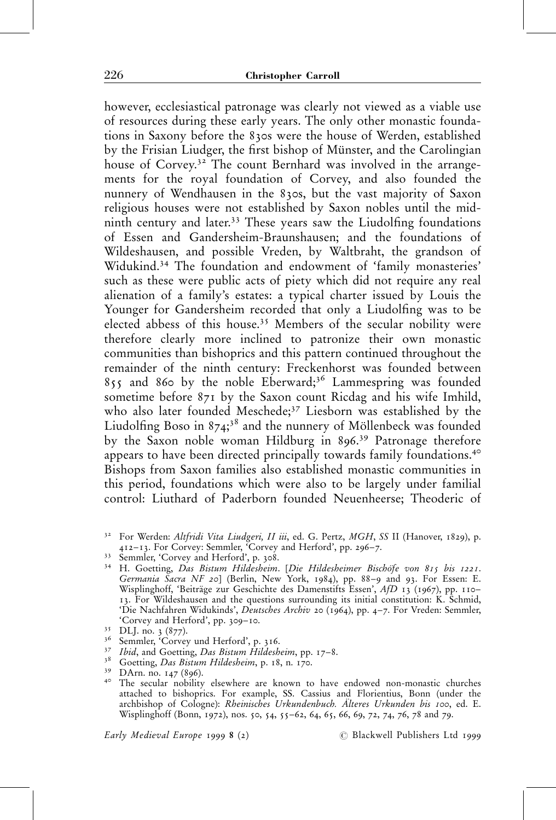however, ecclesiastical patronage was clearly not viewed as a viable use of resources during these early years. The only other monastic foundations in Saxony before the 830s were the house of Werden, established by the Frisian Liudger, the first bishop of Münster, and the Carolingian house of Corvey.<sup>32</sup> The count Bernhard was involved in the arrangements for the royal foundation of Corvey, and also founded the nunnery of Wendhausen in the 830s, but the vast majority of Saxon religious houses were not established by Saxon nobles until the midninth century and later. $33$  These years saw the Liudolfing foundations of Essen and Gandersheim-Braunshausen; and the foundations of Wildeshausen, and possible Vreden, by Waltbraht, the grandson of Widukind.<sup>34</sup> The foundation and endowment of 'family monasteries' such as these were public acts of piety which did not require any real alienation of a family's estates: a typical charter issued by Louis the Younger for Gandersheim recorded that only a Liudolfing was to be elected abbess of this house.<sup>35</sup> Members of the secular nobility were therefore clearly more inclined to patronize their own monastic communities than bishoprics and this pattern continued throughout the remainder of the ninth century: Freckenhorst was founded between  $855$  and 860 by the noble Eberward;<sup>36</sup> Lammespring was founded sometime before 871 by the Saxon count Ricdag and his wife Imhild, who also later founded Meschede;<sup>37</sup> Liesborn was established by the Liudolfing Boso in  $874$ ;<sup>38</sup> and the nunnery of Möllenbeck was founded by the Saxon noble woman Hildburg in 896.<sup>39</sup> Patronage therefore appears to have been directed principally towards family foundations.40 Bishops from Saxon families also established monastic communities in this period, foundations which were also to be largely under familial control: Liuthard of Paderborn founded Neuenheerse; Theoderic of

- 
- Germania Sacra NF 20] (Berlin, New York, 1984), pp. 88-9 and 93. For Essen: E. Wisplinghoff, 'Beiträge zur Geschichte des Damenstifts Essen', AfD 13 (1967), pp. 110-13. For Wildeshausen and the questions surrounding its initial constitution: K. Schmid, 'Die Nachfahren Widukinds', Deutsches Archiv 20 (1964), pp. 4–7. For Vreden: Semmler, 'Corvey and Herford', pp. 309–10.<br>
<sup>35</sup> DLJ. no. 3 (877).<br>
<sup>36</sup> Semmler, 'Corvey und Herford', p. 316.<br>
<sup>37</sup> Ibid, and Goetting, *Das Bistum Hildesheim*, pp. 17–8.<br>
<sup>38</sup> Goetting, *Das Bistum Hildesheim*, p. 18, n. 170.<br>
- 
- 
- 
- 
- 
- attached to bishoprics. For example, SS. Cassius and Florientius, Bonn (under the archbishop of Cologne): Rheinisches Urkundenbuch. Älteres Urkunden bis 100, ed. E. Wisplinghoff (Bonn, 1972), nos. 50, 54, 55–62, 64, 65, 66, 69, 72, 74, 76, 78 and 79.

<sup>&</sup>lt;sup>32</sup> For Werden: Altfridi Vita Liudgeri, II iii, ed. G. Pertz, MGH, SS II (Hanover, 1829), p. 412-13. For Corvey: Semmler, `Corvey and Herford', pp. 296-7.<br><sup>33</sup> Semmler, `Corvey and Herford', p. 308.<br><sup>34</sup> H. Goetting, *Das Bistum Hildesheim.* [Die Hildesheimer Bischöfe von 815 bis 1221.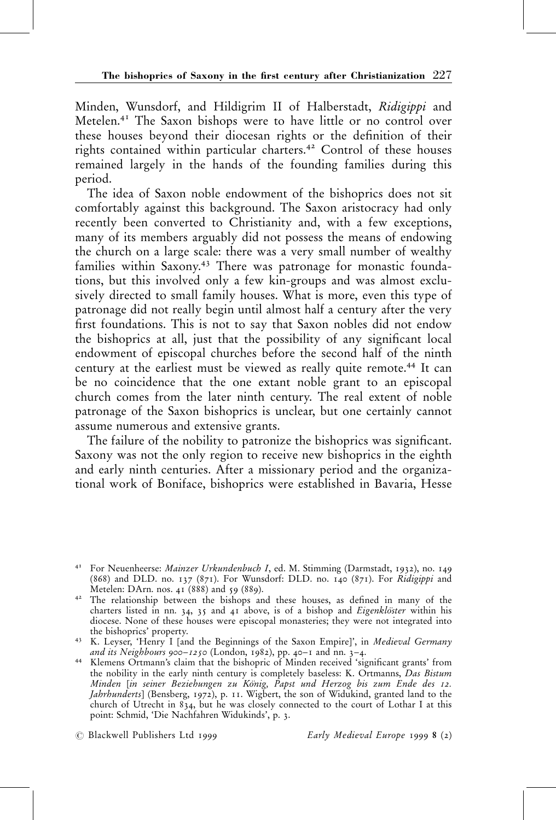Minden, Wunsdorf, and Hildigrim II of Halberstadt, Ridigippi and Metelen.41 The Saxon bishops were to have little or no control over these houses beyond their diocesan rights or the definition of their rights contained within particular charters.<sup>42</sup> Control of these houses remained largely in the hands of the founding families during this period.

The idea of Saxon noble endowment of the bishoprics does not sit comfortably against this background. The Saxon aristocracy had only recently been converted to Christianity and, with a few exceptions, many of its members arguably did not possess the means of endowing the church on a large scale: there was a very small number of wealthy families within Saxony.<sup>43</sup> There was patronage for monastic foundations, but this involved only a few kin-groups and was almost exclusively directed to small family houses. What is more, even this type of patronage did not really begin until almost half a century after the very first foundations. This is not to say that Saxon nobles did not endow the bishoprics at all, just that the possibility of any significant local endowment of episcopal churches before the second half of the ninth century at the earliest must be viewed as really quite remote.<sup>44</sup> It can be no coincidence that the one extant noble grant to an episcopal church comes from the later ninth century. The real extent of noble patronage of the Saxon bishoprics is unclear, but one certainly cannot assume numerous and extensive grants.

The failure of the nobility to patronize the bishoprics was significant. Saxony was not the only region to receive new bishoprics in the eighth and early ninth centuries. After a missionary period and the organizational work of Boniface, bishoprics were established in Bavaria, Hesse

<sup>&</sup>lt;sup>41</sup> For Neuenheerse: *Mainzer Urkundenbuch I*, ed. M. Stimming (Darmstadt, 1932), no. 149 (868) and DLD. no. 137 (871). For Wunsdorf: DLD. no. 140 (871). For *Ridigippi* and Metelen: DArn. nos. 41 (888) and 59 (889).

Architecturiis Darnel and 42 (888). The relationship between the bishops and these houses, as defined in many of the charters listed in nn. 34, 35 and 41 above, is of a bishop and Eigenklöster within his diocese. None of these houses were episcopal monasteries; they were not integrated into

the bishoprics' property.<br><sup>43</sup> K. Leyser, `Henry I [and the Beginnings of the Saxon Empire]', in *Medieval Germany* 

and its Neighbours 900-1250 (London, 1982), pp. 40-1 and nn. 3-4.<br><sup>44</sup> Klemens Ortmann's claim that the bishopric of Minden received 'significant grants' from the nobility in the early ninth century is completely baseless: K. Ortmanns, Das Bistum Minden [in seiner Beziehungen zu König, Papst und Herzog bis zum Ende des 12. Jahrhunderts] (Bensberg, 1972), p. 11. Wigbert, the son of Widukind, granted land to the church of Utrecht in 834, but he was closely connected to the court of Lothar I at this point: Schmid, `Die Nachfahren Widukinds', p. 3.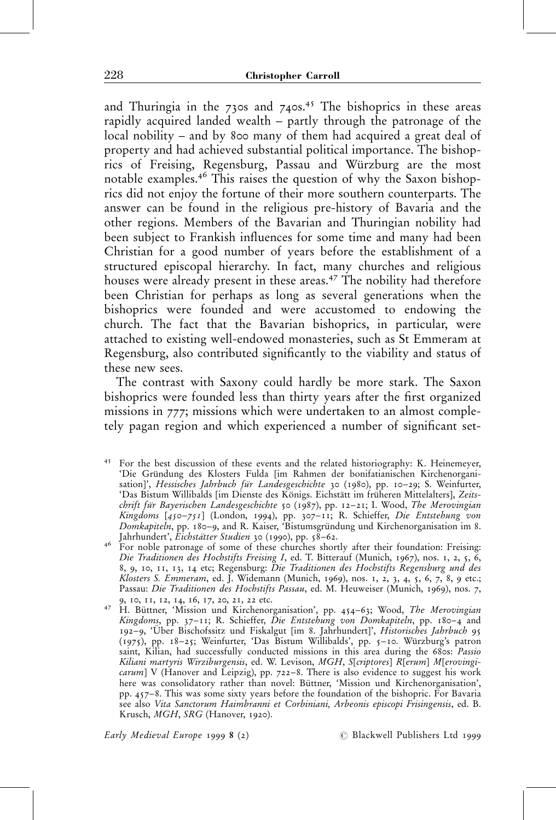and Thuringia in the  $730s$  and  $740s$ <sup>45</sup> The bishoprics in these areas rapidly acquired landed wealth – partly through the patronage of the local nobility – and by 800 many of them had acquired a great deal of property and had achieved substantial political importance. The bishoprics of Freising, Regensburg, Passau and Würzburg are the most notable examples.46 This raises the question of why the Saxon bishoprics did not enjoy the fortune of their more southern counterparts. The answer can be found in the religious pre-history of Bavaria and the other regions. Members of the Bavarian and Thuringian nobility had been subject to Frankish influences for some time and many had been Christian for a good number of years before the establishment of a structured episcopal hierarchy. In fact, many churches and religious houses were already present in these areas.<sup>47</sup> The nobility had therefore been Christian for perhaps as long as several generations when the bishoprics were founded and were accustomed to endowing the church. The fact that the Bavarian bishoprics, in particular, were attached to existing well-endowed monasteries, such as St Emmeram at Regensburg, also contributed significantly to the viability and status of these new sees.

The contrast with Saxony could hardly be more stark. The Saxon bishoprics were founded less than thirty years after the first organized missions in 777; missions which were undertaken to an almost completely pagan region and which experienced a number of significant set-

- <sup>45</sup> For the best discussion of these events and the related historiography: K. Heinemeyer, 'Die Gründung des Klosters Fulda [im Rahmen der bonifatianischen Kirchenorganisation]', Hessisches Jahrbuch für Landesgeschichte 30 (1980), pp. 10-29; S. Weinfurter, 'Das Bistum Willibalds [im Dienste des Königs. Eichstätt im früheren Mittelalters], Zeitschrift für Bayerischen Landesgeschichte 50 (1987), pp. 12-21; I. Wood, The Merovingian Kingdoms [450–751] (London, 1994), pp. 307–11; R. Schieffer, *Die Entstehung von* Do*mkapiteln*, pp. 180−9, and R. Kaiser, 'Bistumsgründung und Kirchenorganisation im 8.
- Jahrhundert', Eichstätter Studien 30 (1990), pp. 58–62.<br><sup>46</sup> For noble patronage of some of these churches shortly after their foundation: Freising: Die Traditionen des Hochstifts Freising I, ed. T. Bitterauf (Munich, 1967), nos. 1, 2, 5, 6, 8, 9, 10, 11, 13, 14 etc; Regensburg: Die Traditionen des Hochstifts Regensburg und des Klosters S. Emmeram, ed. J. Widemann (Munich, 1969), nos. 1, 2, 3, 4, 5, 6, 7, 8, 9 etc.; Passau: *Die Traditionen des Hochstifts Passau*, ed. M. Heuweiser (Munich, 1969), nos. 7,<br>9, 10, 11, 12, 14, 16, 17, 20, 21, 22 etc.
- 9, 10, 11, 12, 14, 16, 17, 20, 21, 22 etc.<br><sup>47</sup> H. Büttner, `Mission und Kirchenorganisation', pp. 454–63; Wood, *The Merovingian* Kingdoms, pp. 37–11; R. Schieffer, *Die Entstehung von Domkapiteln*, pp. 180–4 and 192±9, `UÈ ber Bischofssitz und Fiskalgut [im 8. Jahrhundert]', Historisches Jahrbuch 95 (1975), pp. 18-25; Weinfurter, 'Das Bistum Willibalds', pp. 5-10. Würzburg's patron saint, Kilian, had successfully conducted missions in this area during the 680s: Passio Kiliani martyris Wirziburgensis, ed. W. Levison, MGH, S[criptores] R[erum] M[erovingi*carum*] V (Hanover and Leipzig), pp.  $722-8$ . There is also evidence to suggest his work here was consolidatory rather than novel: Büttner, 'Mission und Kirchenorganisation', pp. 457±8. This was some sixty years before the foundation of the bishopric. For Bavaria see also Vita Sanctorum Haimbranni et Corbiniani, Arbeonis episcopi Frisingensis, ed. B. Krusch, MGH, SRG (Hanover, 1920).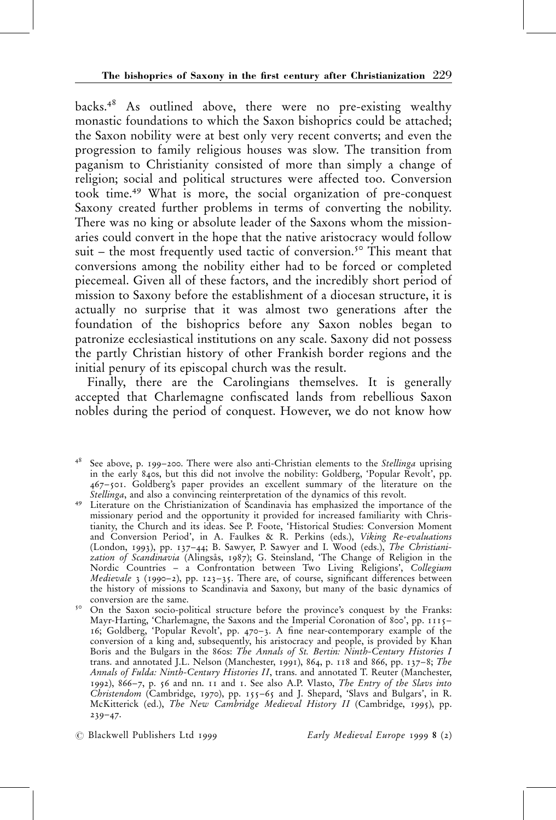backs.48 As outlined above, there were no pre-existing wealthy monastic foundations to which the Saxon bishoprics could be attached; the Saxon nobility were at best only very recent converts; and even the progression to family religious houses was slow. The transition from paganism to Christianity consisted of more than simply a change of religion; social and political structures were affected too. Conversion took time.49 What is more, the social organization of pre-conquest Saxony created further problems in terms of converting the nobility. There was no king or absolute leader of the Saxons whom the missionaries could convert in the hope that the native aristocracy would follow suit  $-$  the most frequently used tactic of conversion.<sup>50</sup> This meant that conversions among the nobility either had to be forced or completed piecemeal. Given all of these factors, and the incredibly short period of mission to Saxony before the establishment of a diocesan structure, it is actually no surprise that it was almost two generations after the foundation of the bishoprics before any Saxon nobles began to patronize ecclesiastical institutions on any scale. Saxony did not possess the partly Christian history of other Frankish border regions and the initial penury of its episcopal church was the result.

Finally, there are the Carolingians themselves. It is generally accepted that Charlemagne confiscated lands from rebellious Saxon nobles during the period of conquest. However, we do not know how

<sup>48</sup> See above, p. 199-200. There were also anti-Christian elements to the Stellinga uprising in the early 840s, but this did not involve the nobility: Goldberg, `Popular Revolt', pp.  $467-5$ OI. Goldberg's paper provides an excellent summary of the literature on the *Stellinga*, and also a convincing reinterpretation of the dynamics of this revolt.

<sup>49</sup> Literature on the Christianization of Scandinavia has emphasized the importance of the missionary period and the opportunity it provided for increased familiarity with Christianity, the Church and its ideas. See P. Foote, `Historical Studies: Conversion Moment and Conversion Period', in A. Faulkes & R. Perkins (eds.), Viking Re-evaluations (London, 1993), pp. 137-44; B. Sawyer, P. Sawyer and I. Wood (eds.), The Christianization of Scandinavia (Alingsås, 1987); G. Steinsland, 'The Change of Religion in the Nordic Countries - a Confrontation between Two Living Religions', Collegium Medievale 3 (1990-2), pp. 123-35. There are, of course, significant differences between the history of missions to Scandinavia and Saxony, but many of the basic dynamics of

50 On the Saxon socio-political structure before the province's conquest by the Franks: Mayr-Harting, `Charlemagne, the Saxons and the Imperial Coronation of 800', pp. 1115± 16; Goldberg, 'Popular Revolt', pp.  $470-3$ . A fine near-contemporary example of the conversion of a king and, subsequently, his aristocracy and people, is provided by Khan Boris and the Bulgars in the 860s: The Annals of St. Bertin: Ninth-Century Histories I trans. and annotated J.L. Nelson (Manchester, 1991), 864, p. 118 and 866, pp. 137-8; The Annals of Fulda: Ninth-Century Histories II, trans. and annotated T. Reuter (Manchester, 1992), 866-7, p. 56 and nn. 11 and 1. See also A.P. Vlasto, The Entry of the Slavs into Christendom (Cambridge, 1970), pp. 155-65 and J. Shepard, 'Slavs and Bulgars', in R. McKitterick (ed.), The New Cambridge Medieval History II (Cambridge, 1995), pp.  $239 - 47.$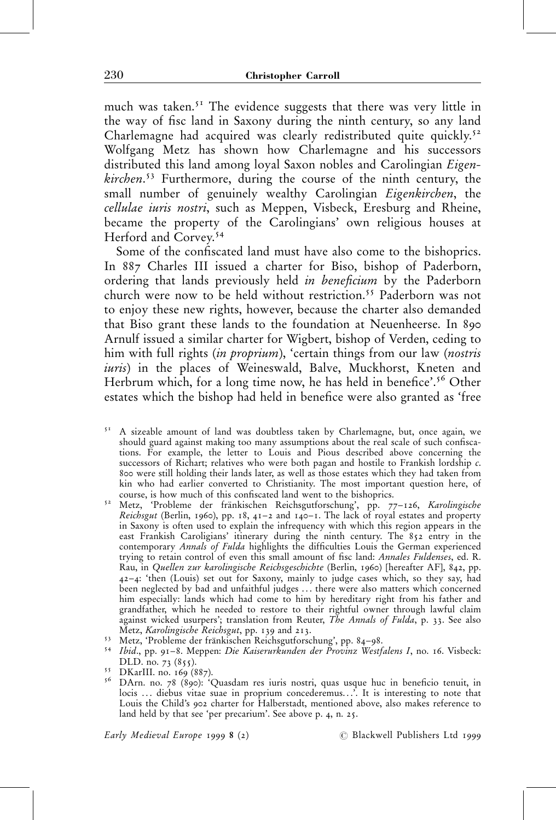much was taken.<sup>51</sup> The evidence suggests that there was very little in the way of fisc land in Saxony during the ninth century, so any land Charlemagne had acquired was clearly redistributed quite quickly.<sup>52</sup> Wolfgang Metz has shown how Charlemagne and his successors distributed this land among loyal Saxon nobles and Carolingian Eigenkirchen.<sup>53</sup> Furthermore, during the course of the ninth century, the small number of genuinely wealthy Carolingian Eigenkirchen, the cellulae iuris nostri, such as Meppen, Visbeck, Eresburg and Rheine, became the property of the Carolingians' own religious houses at Herford and Corvey.54

Some of the confiscated land must have also come to the bishoprics. In 887 Charles III issued a charter for Biso, bishop of Paderborn, ordering that lands previously held in beneficium by the Paderborn church were now to be held without restriction.<sup>55</sup> Paderborn was not to enjoy these new rights, however, because the charter also demanded that Biso grant these lands to the foundation at Neuenheerse. In 890 Arnulf issued a similar charter for Wigbert, bishop of Verden, ceding to him with full rights *(in proprium)*, 'certain things from our law *(nostris*) iuris) in the places of Weineswald, Balve, Muckhorst, Kneten and Herbrum which, for a long time now, he has held in benefice'.<sup>56</sup> Other estates which the bishop had held in benefice were also granted as 'free

 $5<sup>1</sup>$  A sizeable amount of land was doubtless taken by Charlemagne, but, once again, we should guard against making too many assumptions about the real scale of such confiscations. For example, the letter to Louis and Pious described above concerning the successors of Richart; relatives who were both pagan and hostile to Frankish lordship c. 800 were still holding their lands later, as well as those estates which they had taken from kin who had earlier converted to Christianity. The most important question here, of

- <sup>52</sup> Metz, `Probleme der fränkischen Reichsgutforschung', pp. 77-126, Karolingische Reichsgut (Berlin, 1960), pp. 18,  $41-2$  and  $140-1$ . The lack of royal estates and property in Saxony is often used to explain the infrequency with which this region appears in the east Frankish Caroligians' itinerary during the ninth century. The 852 entry in the contemporary Annals of Fulda highlights the difficulties Louis the German experienced trying to retain control of even this small amount of fisc land: Annales Fuldenses, ed. R. Rau, in Quellen zur karolingische Reichsgeschichte (Berlin, 1960) [hereafter AF], 842, pp.  $42-4$ : 'then (Louis) set out for Saxony, mainly to judge cases which, so they say, had been neglected by bad and unfaithful judges . . . there were also matters which concerned him especially: lands which had come to him by hereditary right from his father and grandfather, which he needed to restore to their rightful owner through lawful claim against wicked usurpers'; translation from Reuter, *The Annals of Fulda*, p. 33. See also<br>Metz, *Karolingische Reichsgut*, pp. 139 and 213.
- 
- Metz, Probleme der fränkischen Reichsgutforschung', pp. 84–98.<br><sup>54</sup> Ibid., pp. 91–8. Meppen: Die Kaiserurkunden der Provinz Westfalens I, no. 16. Visbeck:<br>DLD. no. 73 (855).
- 
- <sup>55</sup> DKarIII. no. 169 (887).<br><sup>56</sup> DArn. no. 78 (890): 'Quasdam res iuris nostri, quas usque huc in beneficio tenuit, in locis ... diebus vitae suae in proprium concederemus...<sup>2</sup>. It is interesting to note that Louis the Child's 902 charter for Halberstadt, mentioned above, also makes reference to land held by that see 'per precarium'. See above p. 4, n. 25.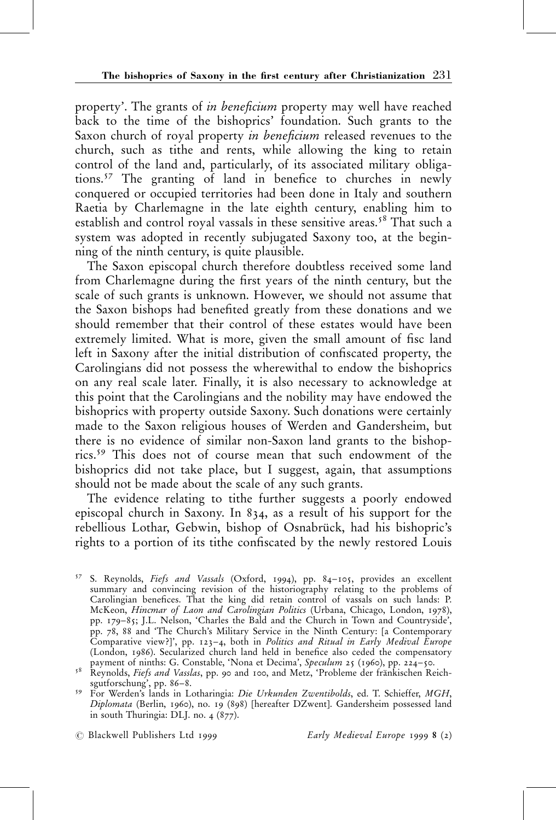property'. The grants of in beneficium property may well have reached back to the time of the bishoprics' foundation. Such grants to the Saxon church of royal property in beneficium released revenues to the church, such as tithe and rents, while allowing the king to retain control of the land and, particularly, of its associated military obligations.<sup>57</sup> The granting of land in benefice to churches in newly conquered or occupied territories had been done in Italy and southern Raetia by Charlemagne in the late eighth century, enabling him to establish and control royal vassals in these sensitive areas.<sup>58</sup> That such a system was adopted in recently subjugated Saxony too, at the beginning of the ninth century, is quite plausible.

The Saxon episcopal church therefore doubtless received some land from Charlemagne during the first years of the ninth century, but the scale of such grants is unknown. However, we should not assume that the Saxon bishops had benefited greatly from these donations and we should remember that their control of these estates would have been extremely limited. What is more, given the small amount of fisc land left in Saxony after the initial distribution of confiscated property, the Carolingians did not possess the wherewithal to endow the bishoprics on any real scale later. Finally, it is also necessary to acknowledge at this point that the Carolingians and the nobility may have endowed the bishoprics with property outside Saxony. Such donations were certainly made to the Saxon religious houses of Werden and Gandersheim, but there is no evidence of similar non-Saxon land grants to the bishoprics.59 This does not of course mean that such endowment of the bishoprics did not take place, but I suggest, again, that assumptions should not be made about the scale of any such grants.

The evidence relating to tithe further suggests a poorly endowed episcopal church in Saxony. In 834, as a result of his support for the rebellious Lothar, Gebwin, bishop of Osnabrück, had his bishopric's rights to a portion of its tithe confiscated by the newly restored Louis

<sup>57</sup> S. Reynolds, Fiefs and Vassals (Oxford, 1994), pp. 84-105, provides an excellent summary and convincing revision of the historiography relating to the problems of Carolingian benefices. That the king did retain control of vassals on such lands: P. McKeon, Hincmar of Laon and Carolingian Politics (Urbana, Chicago, London, 1978), pp. 179-85; J.L. Nelson, 'Charles the Bald and the Church in Town and Countryside', pp. 78, 88 and `The Church's Military Service in the Ninth Century: [a Contemporary Comparative view?]', pp. 123-4, both in Politics and Ritual in Early Medival Europe (London, 1986). Secularized church land held in benefice also ceded the compensatory

payment of ninths: G. Constable, 'Nona et Decima', Speculum 25 (1960), pp. 224-50.<br><sup>58</sup> Reynolds, *Fiefs and Vasslas*, pp. 90 and 100, and Metz, 'Probleme der fränkischen Reich-

sgutforschung', pp. 86-8.<br><sup>59</sup> For Werden's lands in Lotharingia: *Die Urkunden Zwentibolds*, ed. T. Schieffer, *MGH*, Diplomata (Berlin, 1960), no. 19 (898) [hereafter DZwent]. Gandersheim possessed land in south Thuringia: DLJ. no. 4 (877).

 $\oslash$  Blackwell Publishers Ltd 1999  $\sc{Early}$  Medieval Europe 1999 8 (2)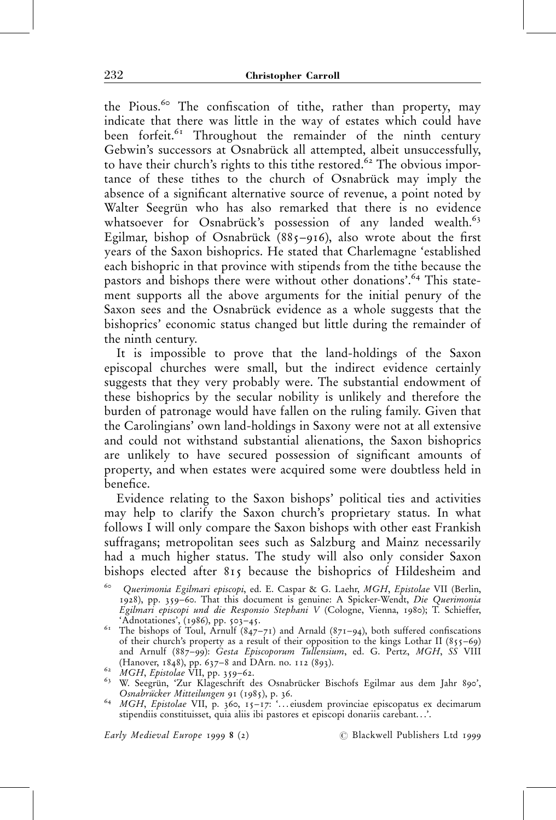the Pious.<sup>60</sup> The confiscation of tithe, rather than property, may indicate that there was little in the way of estates which could have been forfeit.<sup>61</sup> Throughout the remainder of the ninth century Gebwin's successors at Osnabrück all attempted, albeit unsuccessfully, to have their church's rights to this tithe restored.<sup>62</sup> The obvious importance of these tithes to the church of Osnabrück may imply the absence of a significant alternative source of revenue, a point noted by Walter Seegrün who has also remarked that there is no evidence whatsoever for Osnabrück's possession of any landed wealth.<sup>63</sup> Egilmar, bishop of Osnabrück (885-916), also wrote about the first years of the Saxon bishoprics. He stated that Charlemagne `established each bishopric in that province with stipends from the tithe because the pastors and bishops there were without other donations'.<sup>64</sup> This statement supports all the above arguments for the initial penury of the Saxon sees and the Osnabrück evidence as a whole suggests that the bishoprics' economic status changed but little during the remainder of the ninth century.

It is impossible to prove that the land-holdings of the Saxon episcopal churches were small, but the indirect evidence certainly suggests that they very probably were. The substantial endowment of these bishoprics by the secular nobility is unlikely and therefore the burden of patronage would have fallen on the ruling family. Given that the Carolingians' own land-holdings in Saxony were not at all extensive and could not withstand substantial alienations, the Saxon bishoprics are unlikely to have secured possession of significant amounts of property, and when estates were acquired some were doubtless held in benefice.

Evidence relating to the Saxon bishops' political ties and activities may help to clarify the Saxon church's proprietary status. In what follows I will only compare the Saxon bishops with other east Frankish suffragans; metropolitan sees such as Salzburg and Mainz necessarily had a much higher status. The study will also only consider Saxon bishops elected after 815 because the bishoprics of Hildesheim and

Querimonia Egilmari episcopi, ed. E. Caspar & G. Laehr, MGH, Epistolae VII (Berlin, 1928), pp. 359-60. That this document is genuine: A Spicker-Wendt, Die Querimonia Egilmari episcopi und die Responsio Stephani V (Cologne, Vienna, 1980); T. Schieffer,

<sup>&#</sup>x27;Adnotationes', (1986), pp. 503–45.<br><sup>61</sup> The bishops of Toul, Arnulf (847–71) and Arnald (871–94), both suffered confiscations of their church's property as a result of their opposition to the kings Lothar II (855–69) and Arnulf (887-99): Gesta Episcoporum Tullensium, ed. G. Pertz, MGH, SS VIII

<sup>(</sup>Hanover, 1848), pp. 637=8 and DArn. no. 112 (893).<br>
<sup>62</sup> MGH, Epistolae VII, pp. 359=62.<br>
<sup>63</sup> W. Seegrün, 'Zur Klageschrift des Osnabrücker Bischofs Egilmar aus dem Jahr 890',<br> *Cosnabrücker Mitteilungen* 91 (1985), p.

<sup>&</sup>lt;sup>64</sup> MGH, Epistolae VII, p. 360, 15-17: `... eiusdem provinciae episcopatus ex decimarum stipendiis constituisset, quia aliis ibi pastores et episcopi donariis carebant. . .'.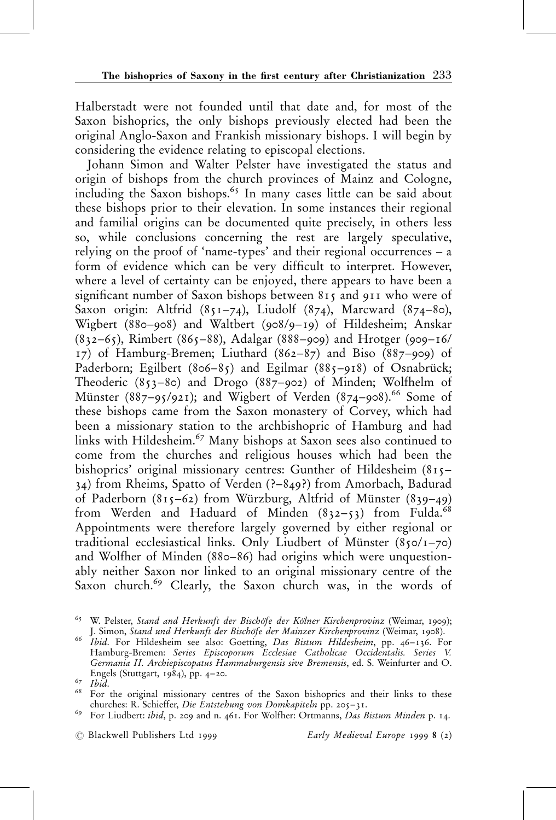Halberstadt were not founded until that date and, for most of the Saxon bishoprics, the only bishops previously elected had been the original Anglo-Saxon and Frankish missionary bishops. I will begin by considering the evidence relating to episcopal elections.

Johann Simon and Walter Pelster have investigated the status and origin of bishops from the church provinces of Mainz and Cologne, including the Saxon bishops.<sup>65</sup> In many cases little can be said about these bishops prior to their elevation. In some instances their regional and familial origins can be documented quite precisely, in others less so, while conclusions concerning the rest are largely speculative, relying on the proof of 'name-types' and their regional occurrences  $- a$ form of evidence which can be very difficult to interpret. However, where a level of certainty can be enjoyed, there appears to have been a significant number of Saxon bishops between 815 and 911 who were of Saxon origin: Altfrid  $(851-74)$ , Liudolf  $(874)$ , Marcward  $(874-80)$ , Wigbert (880-908) and Waltbert (908/9-19) of Hildesheim; Anskar  $(832-65)$ , Rimbert (865–88), Adalgar (888–909) and Hrotger (909–16/ 17) of Hamburg-Bremen; Liuthard  $(862-87)$  and Biso  $(887-909)$  of Paderborn; Egilbert (806-85) and Egilmar (885-918) of Osnabrück; Theoderic (853-80) and Drogo (887-902) of Minden; Wolfhelm of Münster (887-95/921); and Wigbert of Verden (874-908).<sup>66</sup> Some of these bishops came from the Saxon monastery of Corvey, which had been a missionary station to the archbishopric of Hamburg and had links with Hildesheim.<sup>67</sup> Many bishops at Saxon sees also continued to come from the churches and religious houses which had been the bishoprics' original missionary centres: Gunther of Hildesheim (815-34) from Rheims, Spatto of Verden (?-849?) from Amorbach, Badurad of Paderborn (815 $-62$ ) from Würzburg, Altfrid of Münster (839-49) from Werden and Haduard of Minden  $(832-53)$  from Fulda.<sup>68</sup> Appointments were therefore largely governed by either regional or traditional ecclesiastical links. Only Liudbert of Münster  $(850/1-70)$ and Wolfher of Minden (880–86) had origins which were unquestionably neither Saxon nor linked to an original missionary centre of the Saxon church.<sup>69</sup> Clearly, the Saxon church was, in the words of

 $65$  W. Pelster, Stand and Herkunft der Bischöfe der Kölner Kirchenprovinz (Weimar, 1909);

J. Simon, St*and und Herkunft der Bischöfe der Mainzer Kirchenprovinz* (Weimar, 1908).<br><sup>66</sup> *Ibid.* For Hildesheim see also: Goetting, *Das Bistum Hildesheim*, pp. 46–136. For Hamburg-Bremen: Series Episcoporum Ecclesiae Catholicae Occidentalis. Series V. Germania II. Archiepiscopatus Hammaburgensis sive Bremensis, ed. S. Weinfurter and O.<br>Engels (Stutteart, 1984), pp. 4–20.

Engels (Stuttgart, 1984), pp. 424, pp. 420. 68 For the original missionary centres of the Saxon bishoprics and their links to these churches: R. Schieffer, *Die Entstehung von Domkapiteln* pp. 205–31.

<sup>&</sup>lt;sup>69</sup> For Liudbert: ibid, p. 209 and n. 461. For Wolfher: Ortmanns, Das Bistum Minden p. 14.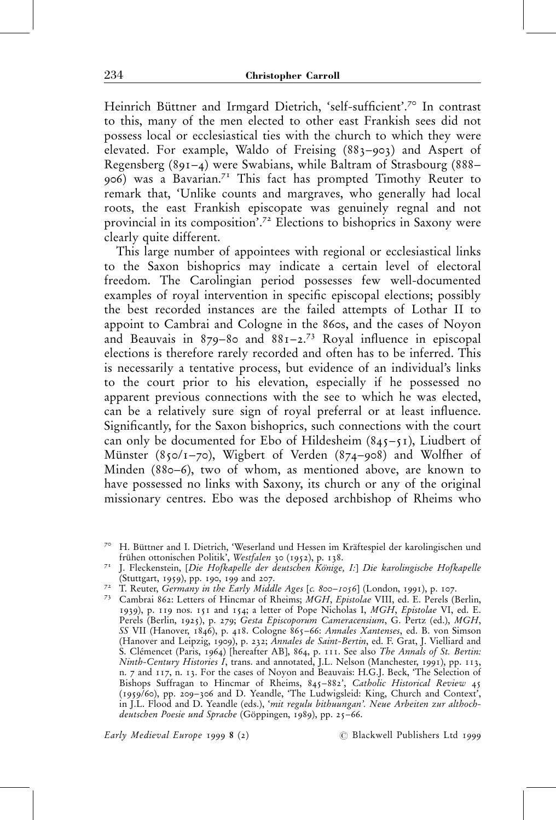Heinrich Büttner and Irmgard Dietrich, 'self-sufficient'.<sup>70</sup> In contrast to this, many of the men elected to other east Frankish sees did not possess local or ecclesiastical ties with the church to which they were elevated. For example, Waldo of Freising  $(883–903)$  and Aspert of Regensberg (891 $-4$ ) were Swabians, while Baltram of Strasbourg (888 $-$ 906) was a Bavarian.71 This fact has prompted Timothy Reuter to remark that, 'Unlike counts and margraves, who generally had local roots, the east Frankish episcopate was genuinely regnal and not provincial in its composition'.72 Elections to bishoprics in Saxony were clearly quite different.

This large number of appointees with regional or ecclesiastical links to the Saxon bishoprics may indicate a certain level of electoral freedom. The Carolingian period possesses few well-documented examples of royal intervention in specific episcopal elections; possibly the best recorded instances are the failed attempts of Lothar II to appoint to Cambrai and Cologne in the 860s, and the cases of Noyon and Beauvais in  $879-80$  and  $881-2.73$  Royal influence in episcopal elections is therefore rarely recorded and often has to be inferred. This is necessarily a tentative process, but evidence of an individual's links to the court prior to his elevation, especially if he possessed no apparent previous connections with the see to which he was elected, can be a relatively sure sign of royal preferral or at least influence. Significantly, for the Saxon bishoprics, such connections with the court can only be documented for Ebo of Hildesheim  $(845-51)$ , Liudbert of Münster (850/1-70), Wigbert of Verden (874-908) and Wolfher of Minden (880–6), two of whom, as mentioned above, are known to have possessed no links with Saxony, its church or any of the original missionary centres. Ebo was the deposed archbishop of Rheims who

<sup>70</sup> H. Büttner and I. Dietrich, 'Weserland und Hessen im Kräftespiel der karolingischen und frühen ottonischen Politik', Westfalen 30 (1952), p. 138.

<sup>&</sup>lt;sup>71</sup> J. Fleckenstein, *[Die Hofkapelle der deutschen Könige, I:] Die karolingische Hofkapelle* (Stuttgart, 1959), pp. 190, 199 and 207.

<sup>(</sup>Stuttgart, 1959), pp. 199, 199, 190, 100 and 207.<br><sup>72</sup> T. Reuter, *Germany in the Early Middle Ages* [c. 800–1056] (London, 1991), p. 107.<br><sup>73</sup> Cambrai 862: Letters of Hincmar of Rheims; *MGH, Epistolae* VIII, ed. E. Pere 1939), p. 119 nos. 151 and 154; a letter of Pope Nicholas I, MGH, Epistolae VI, ed. E. Perels (Berlin, 1925), p. 279; Gesta Episcoporum Cameracensium, G. Pertz (ed.), MGH, SS VII (Hanover, 1846), p. 418. Cologne 865-66: Annales Xantenses, ed. B. von Simson (Hanover and Leipzig, 1909), p. 232; Annales de Saint-Bertin, ed. F. Grat, J. Vielliard and S. Clémencet (Paris, 1964) [hereafter AB], 864, p. 111. See also *The Annals of St. Bertin:* Ninth-Century Histories I, trans. and annotated, J.L. Nelson (Manchester, 1991), pp. 113, n. 7 and 117, n. 13. For the cases of Noyon and Beauvais: H.G.J. Beck, 'The Selection of Bishops Suffragan to Hincmar of Rheims, 845-882', Catholic Historical Review 45 (1959/60), pp. 209-306 and D. Yeandle, 'The Ludwigsleid: King, Church and Context', in J.L. Flood and D. Yeandle (eds.), `mit regulu bithuungan'. Neue Arbeiten zur althochdeutschen Poesie und Sprache (Göppingen, 1989), pp. 25–66.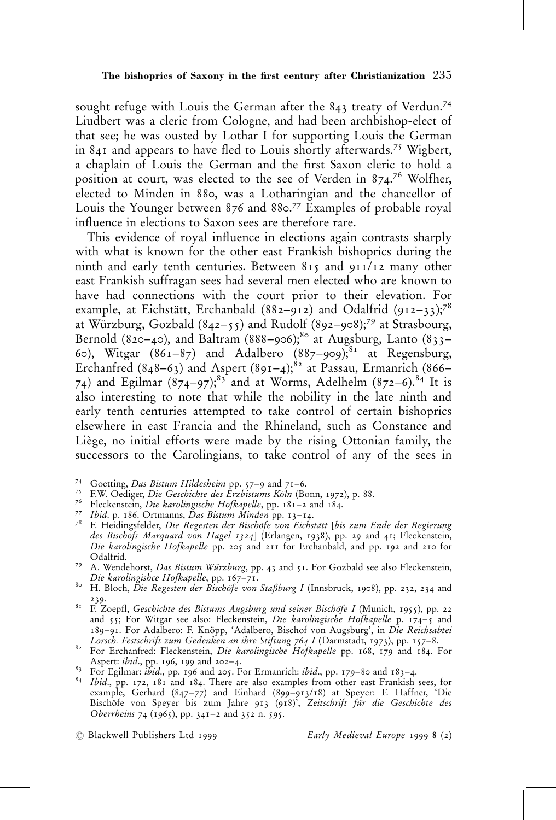sought refuge with Louis the German after the 843 treaty of Verdun.<sup>74</sup> Liudbert was a cleric from Cologne, and had been archbishop-elect of that see; he was ousted by Lothar I for supporting Louis the German in 841 and appears to have fled to Louis shortly afterwards.<sup>75</sup> Wigbert, a chaplain of Louis the German and the first Saxon cleric to hold a position at court, was elected to the see of Verden in 874.76 Wolfher, elected to Minden in 880, was a Lotharingian and the chancellor of Louis the Younger between 876 and 880.<sup>77</sup> Examples of probable royal influence in elections to Saxon sees are therefore rare.

This evidence of royal influence in elections again contrasts sharply with what is known for the other east Frankish bishoprics during the ninth and early tenth centuries. Between 815 and 911/12 many other east Frankish suffragan sees had several men elected who are known to have had connections with the court prior to their elevation. For example, at Eichstätt, Erchanbald (882-912) and Odalfrid (912-33);<sup>78</sup> at Würzburg, Gozbald (842-55) and Rudolf (892-908);<sup>79</sup> at Strasbourg, Bernold (820-40), and Baltram (888-906);<sup>80</sup> at Augsburg, Lanto (833-60), Witgar (861-87) and Adalbero (887-909);<sup>81</sup> at Regensburg, Erchanfred (848-63) and Aspert (891-4);<sup>82</sup> at Passau, Ermanrich (866-74) and Egilmar  $(874-97);^{83}$  and at Worms, Adelhelm  $(872-6).^{84}$  It is also interesting to note that while the nobility in the late ninth and early tenth centuries attempted to take control of certain bishoprics elsewhere in east Francia and the Rhineland, such as Constance and Liège, no initial efforts were made by the rising Ottonian family, the successors to the Carolingians, to take control of any of the sees in

- 
- 
- 
- 
- <sup>74</sup> Goetting, *Das Bistum Hildesheim* pp. 57–9 and 71–6.<br><sup>75</sup> F.W. Oediger, *Die Geschichte des Erzbistums Köln* (Bonn, 1972), p. 88.<br><sup>76</sup> Fleckenstein, *Die karolingische Hofkapelle*, pp. 181–2 and 184.<br><sup>77</sup> Ibid. p. 186 des Bischofs Marquard von Hagel 1324] (Erlangen, 1938), pp. 29 and 41; Fleckenstein, Die karolingische Hofkapelle pp. 205 and 211 for Erchanbald, and pp. 192 and 210 for
- Odalfrid.  $79$  A. Wendehorst, *Das Bistum Würzburg*, pp. 43 and 51. For Gozbald see also Fleckenstein, Die karolingishce Hofkapelle, pp. 167–71.<br><sup>80</sup> H. Bloch, *Die Regesten der Bischöfe von Staßburg I* (Innsbruck, 1908), pp. 232, 234 and
- 
- <sup>81</sup> F. Zoepfl, Geschichte des Bistums Augsburg und seiner Bischöfe I (Munich, 1955), pp. 22 and 55; For Witgar see also: Fleckenstein, Die karolingische Hofkapelle p. 174-5 and 189-91. For Adalbero: F. Knöpp, 'Adalbero, Bischof von Augsburg', in Die Reichsabtei
- Lorsch. Festschrift zum Gedenken an ihre Stiftung 764 I (Darmstadt, 1973), pp. 157–8.<br><sup>82</sup> For Erchanfred: Fleckenstein, Die karolingische Hofkapelle pp. 168, 179 and 184. For
- 
- Aspert: *ibid.*, pp. 196, 199 and 202-4.<br><sup>83</sup> For Egilmar: *ibid.*, pp. 196 and 205. For Ermanrich: *ibid.*, pp. 179–80 and 183–4.<br><sup>84</sup> Ibid., pp. 172, 181 and 184. There are also examples from other east Frankish sees, f example, Gerhard (847±77) and Einhard (899±913/18) at Speyer: F. Haffner, `Die Bischöfe von Speyer bis zum Jahre 913 (918)', Z*eitschrift für die Geschichte des* Oberrheins 74 (1965), pp. 341-2 and 352 n. 595.
- $\oslash$  Blackwell Publishers Ltd 1999  $\sc{Early}$  Medieval Europe 1999 8 (2)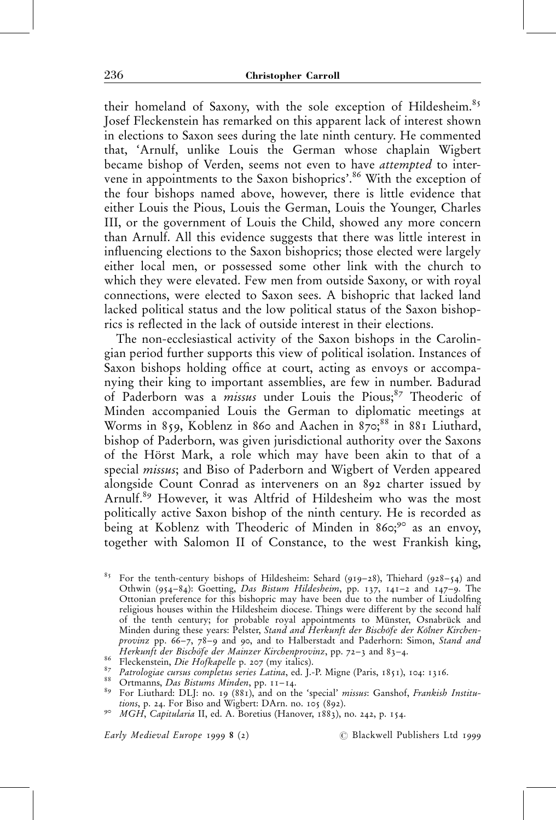their homeland of Saxony, with the sole exception of Hildesheim.<sup>85</sup> Josef Fleckenstein has remarked on this apparent lack of interest shown in elections to Saxon sees during the late ninth century. He commented that, `Arnulf, unlike Louis the German whose chaplain Wigbert became bishop of Verden, seems not even to have attempted to intervene in appointments to the Saxon bishoprics'.<sup>86</sup> With the exception of the four bishops named above, however, there is little evidence that either Louis the Pious, Louis the German, Louis the Younger, Charles III, or the government of Louis the Child, showed any more concern than Arnulf. All this evidence suggests that there was little interest in influencing elections to the Saxon bishoprics; those elected were largely either local men, or possessed some other link with the church to which they were elevated. Few men from outside Saxony, or with royal connections, were elected to Saxon sees. A bishopric that lacked land lacked political status and the low political status of the Saxon bishoprics is reflected in the lack of outside interest in their elections.

The non-ecclesiastical activity of the Saxon bishops in the Carolingian period further supports this view of political isolation. Instances of Saxon bishops holding office at court, acting as envoys or accompanying their king to important assemblies, are few in number. Badurad of Paderborn was a *missus* under Louis the Pious;<sup>87</sup> Theoderic of Minden accompanied Louis the German to diplomatic meetings at Worms in 859, Koblenz in 860 and Aachen in  $870;^{88}$  in 881 Liuthard, bishop of Paderborn, was given jurisdictional authority over the Saxons of the Hörst Mark, a role which may have been akin to that of a special missus; and Biso of Paderborn and Wigbert of Verden appeared alongside Count Conrad as interveners on an 892 charter issued by Arnulf.89 However, it was Altfrid of Hildesheim who was the most politically active Saxon bishop of the ninth century. He is recorded as being at Koblenz with Theoderic of Minden in 860;<sup>90</sup> as an envoy, together with Salomon II of Constance, to the west Frankish king,

<sup>&</sup>lt;sup>85</sup> For the tenth-century bishops of Hildesheim: Sehard (919–28), Thiehard (928–54) and Othwin (954-84): Goetting, Das Bistum Hildesheim, pp. 137, 141-2 and 147-9. The Ottonian preference for this bishopric may have been due to the number of Liudolfing religious houses within the Hildesheim diocese. Things were different by the second half of the tenth century; for probable royal appointments to Münster, Osnabrück and Minden during these years: Pelster, Stand and Herkunft der Bischöfe der Kölner Kirchenprovinz pp. 66-7, 78-9 and 90, and to Halberstadt and Paderhorn: Simon, Stand and<br>Herkunft der Bischöfe der Mainzer Kirchenprovinz, pp. 72-3 and 83-4.

<sup>&</sup>lt;sup>86</sup> Fleckenstein, *Die Hofkapelle* p. 207 (my italics).<br><sup>87</sup> Patrologiae cursus completus series Latina, ed. J.-P. Migne (Paris, 1851), 104: 1316.<br><sup>89</sup> Crtmanns, *Das Bistums Minden*, pp. 11–14.<br><sup>89</sup> For Liuthard: DLJ: no

<sup>&</sup>lt;sup>90</sup> MGH, Capitularia II, ed. A. Boretius (Hanover, 1883), no. 242, p. 154.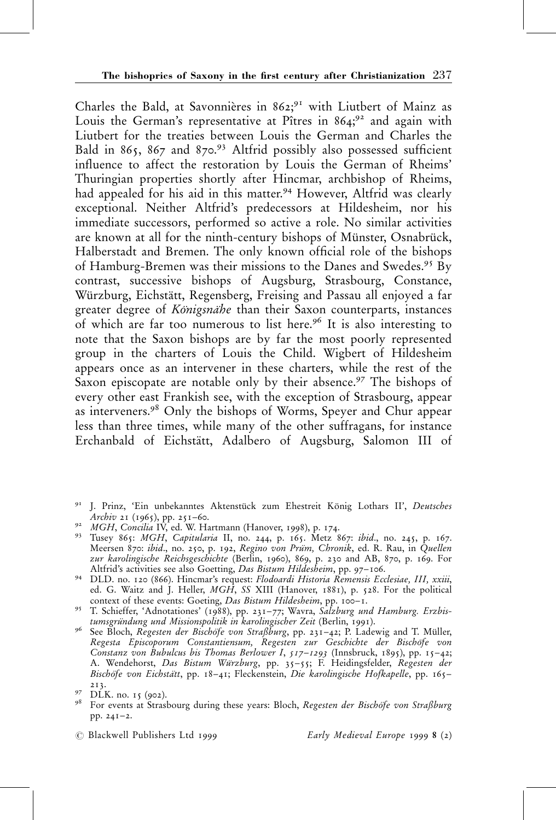Charles the Bald, at Savonnières in  $862;^{91}$  with Liutbert of Mainz as Louis the German's representative at Pîtres in  $864;^{92}$  and again with Liutbert for the treaties between Louis the German and Charles the Bald in 865, 867 and 870.<sup>93</sup> Altfrid possibly also possessed sufficient influence to affect the restoration by Louis the German of Rheims' Thuringian properties shortly after Hincmar, archbishop of Rheims, had appealed for his aid in this matter.<sup>94</sup> However, Altfrid was clearly exceptional. Neither Altfrid's predecessors at Hildesheim, nor his immediate successors, performed so active a role. No similar activities are known at all for the ninth-century bishops of Münster, Osnabrück, Halberstadt and Bremen. The only known official role of the bishops of Hamburg-Bremen was their missions to the Danes and Swedes.<sup>95</sup> By contrast, successive bishops of Augsburg, Strasbourg, Constance, Würzburg, Eichstätt, Regensberg, Freising and Passau all enjoyed a far greater degree of *Königsnähe* than their Saxon counterparts, instances of which are far too numerous to list here.<sup>96</sup> It is also interesting to note that the Saxon bishops are by far the most poorly represented group in the charters of Louis the Child. Wigbert of Hildesheim appears once as an intervener in these charters, while the rest of the Saxon episcopate are notable only by their absence.<sup>97</sup> The bishops of every other east Frankish see, with the exception of Strasbourg, appear as interveners.98 Only the bishops of Worms, Speyer and Chur appear less than three times, while many of the other suffragans, for instance Erchanbald of Eichstätt, Adalbero of Augsburg, Salomon III of

- 91 J. Prinz, 'Ein unbekanntes Aktenstück zum Ehestreit König Lothars II', Deutsches Archiv 21 (1965), pp. 251–60.<br><sup>92</sup> MGH, Concilia IV, ed. W. Hartmann (Hanover, 1998), p. 174.<br><sup>93</sup> Tusey 865: MGH, Capitularia II, no. 244, p. 165. Metz 867: ibid., no. 245, p. 167.
- 
- Meersen 870: ibid., no. 250, p. 192, Regino von Prüm, Chronik, ed. R. Rau, in Quellen zur karolingische Reichsgeschichte (Berlin, 1960), 869, p. 230 and AB, 870, p. 169. For Altfrid's activities see also Goetting, Das Bistum Hildesheim, pp. 97-106.
- <sup>94</sup> DLD. no. 120 (866). Hincmar's request: Flodoardi Historia Remensis Ecclesiae, III, xxiii, ed. G. Waitz and J. Heller,  $MGH$ , SS XIII (Hanover, 1881), p. 528. For the political context of these events: Goeting, *Das Bistum Hildesheim*, pp. 100–1.
- of T. Schieffer, 'Adnotationes' (1988), pp. 231–77; Wavra, Salzburg und Hamburg. Erzbis-<br>tumsgründung und Missionspolitik in karolingischer Zeit (Berlin, 1991).
- tumsgruhaung und Missionspolitik in karolingischer Zeit (Berlin, 1991). 96 See Bloch, Regesten der Bischöfe von Straßburg, pp. 231–42; P. Ladewig and T. Müller, Regesta Episcoporum Constantiensum, Regesten zur Geschichte der Bischöfe von Constanz von Bubulcus bis Thomas Berlower I, 517–1293 (Innsbruck, 1895), pp. 15–42; A. Wendehorst, *Das Bistum Würzbur*g, pp. 35–55; F. Heidingsfelder, *Regesten der* Bischöfe von Eichstätt, pp. 18-41; Fleckenstein, Die karolingische Hofkapelle, pp. 165-213.<br><sup>97</sup> DLK. no. 15 (902).<br><sup>98</sup> For events at Strasbourg during these years: Bloch, *Regesten der Bischöfe von Straßburg*
- pp.  $24I-2$ .
-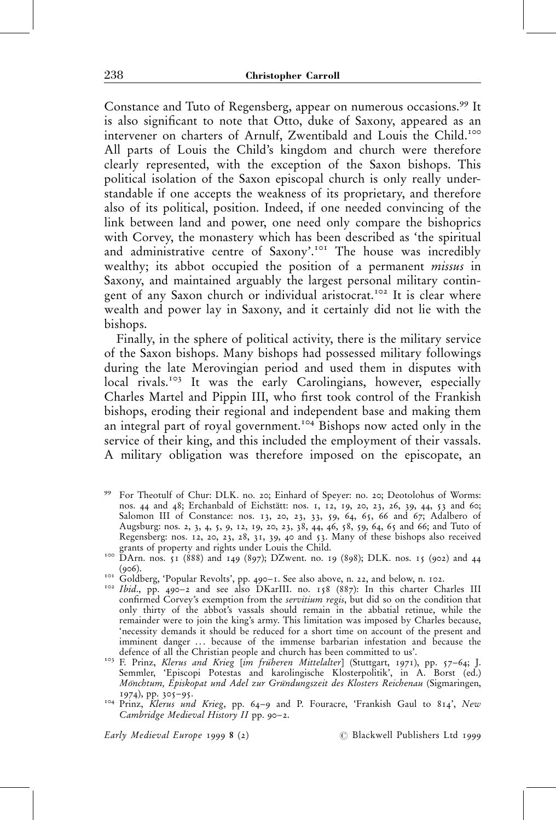Constance and Tuto of Regensberg, appear on numerous occasions.<sup>99</sup> It is also significant to note that Otto, duke of Saxony, appeared as an intervener on charters of Arnulf, Zwentibald and Louis the Child.<sup>100</sup> All parts of Louis the Child's kingdom and church were therefore clearly represented, with the exception of the Saxon bishops. This political isolation of the Saxon episcopal church is only really understandable if one accepts the weakness of its proprietary, and therefore also of its political, position. Indeed, if one needed convincing of the link between land and power, one need only compare the bishoprics with Corvey, the monastery which has been described as 'the spiritual and administrative centre of Saxony'.<sup>101</sup> The house was incredibly wealthy; its abbot occupied the position of a permanent missus in Saxony, and maintained arguably the largest personal military contingent of any Saxon church or individual aristocrat.<sup>102</sup> It is clear where wealth and power lay in Saxony, and it certainly did not lie with the bishops.

Finally, in the sphere of political activity, there is the military service of the Saxon bishops. Many bishops had possessed military followings during the late Merovingian period and used them in disputes with local rivals.<sup>103</sup> It was the early Carolingians, however, especially Charles Martel and Pippin III, who first took control of the Frankish bishops, eroding their regional and independent base and making them an integral part of royal government.<sup>104</sup> Bishops now acted only in the service of their king, and this included the employment of their vassals. A military obligation was therefore imposed on the episcopate, an

<sup>99</sup> For Theotulf of Chur: DLK. no. 20; Einhard of Speyer: no. 20; Deotolohus of Worms: nos. 44 and 48; Erchanbald of Eichstätt: nos. 1, 12, 19, 20, 23, 26, 39, 44, 53 and 60; Salomon III of Constance: nos. 13, 20, 23, 33, 59, 64, 65, 66 and 67; Adalbero of Augsburg: nos. 2, 3, 4, 5, 9, 12, 19, 20, 23, 38, 44, 46, 58, 59, 64, 65 and 66; and Tuto of Regensberg: nos. 12, 20, 23, 28, 31, 39, 40 and 53. Many of these bishops also received

grants of property and rights under Louis the Child.<br><sup>100</sup> DArn. nos. 51 (888) and 149 (897); DZwent. no. 19 (898); DLK. nos. 15 (902) and 44<br>(906).

<sup>&</sup>lt;sup>101</sup> Goldberg, 'Popular Revolts', pp. 490−1. See also above, n. 22, and below, n. 102.<br><sup>102</sup> Ibid., pp. 490−2 and see also DKarIII. no. 158 (887): In this charter Charles III confirmed Corvey's exemption from the servitium regis, but did so on the condition that only thirty of the abbot's vassals should remain in the abbatial retinue, while the remainder were to join the king's army. This limitation was imposed by Charles because, `necessity demands it should be reduced for a short time on account of the present and imminent danger ... because of the immense barbarian infestation and because the

defence of all the Christian people and church has been committed to us'.<br><sup>103</sup> F. Prinz, *Klerus and Krieg [im früheren Mittelalter*] (Stuttgart, 1971), pp. 57–64; J. Semmler, `Episcopi Potestas and karolingische Klosterpolitik', in A. Borst (ed.) Mönchtum, Episkopat und Adel zur Gründungszeit des Klosters Reichenau (Sigmaringen,

<sup>1974),</sup> pp. 305-95.<br><sup>104</sup> Prinz, Klerus und Krieg, pp. 64-9 and P. Fouracre, 'Frankish Gaul to 814', New Cambridge Medieval History II pp. 90-2.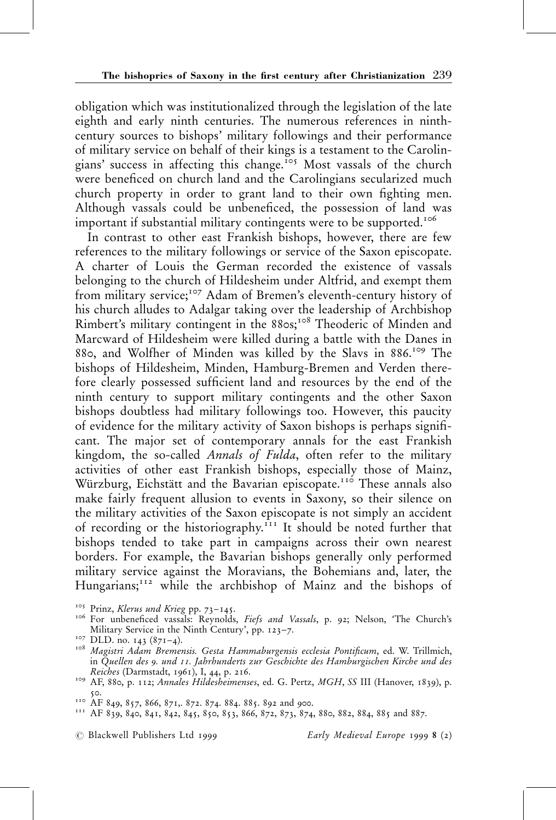obligation which was institutionalized through the legislation of the late eighth and early ninth centuries. The numerous references in ninthcentury sources to bishops' military followings and their performance of military service on behalf of their kings is a testament to the Carolingians' success in affecting this change.<sup>105</sup> Most vassals of the church were beneficed on church land and the Carolingians secularized much church property in order to grant land to their own fighting men. Although vassals could be unbeneficed, the possession of land was important if substantial military contingents were to be supported.<sup>106</sup>

In contrast to other east Frankish bishops, however, there are few references to the military followings or service of the Saxon episcopate. A charter of Louis the German recorded the existence of vassals belonging to the church of Hildesheim under Altfrid, and exempt them from military service;<sup>107</sup> Adam of Bremen's eleventh-century history of his church alludes to Adalgar taking over the leadership of Archbishop Rimbert's military contingent in the 880s;<sup>108</sup> Theoderic of Minden and Marcward of Hildesheim were killed during a battle with the Danes in 880, and Wolfher of Minden was killed by the Slavs in 886.<sup>109</sup> The bishops of Hildesheim, Minden, Hamburg-Bremen and Verden therefore clearly possessed sufficient land and resources by the end of the ninth century to support military contingents and the other Saxon bishops doubtless had military followings too. However, this paucity of evidence for the military activity of Saxon bishops is perhaps significant. The major set of contemporary annals for the east Frankish kingdom, the so-called Annals of Fulda, often refer to the military activities of other east Frankish bishops, especially those of Mainz, Würzburg, Eichstätt and the Bavarian episcopate.<sup>110</sup> These annals also make fairly frequent allusion to events in Saxony, so their silence on the military activities of the Saxon episcopate is not simply an accident of recording or the historiography.<sup>111</sup> It should be noted further that bishops tended to take part in campaigns across their own nearest borders. For example, the Bavarian bishops generally only performed military service against the Moravians, the Bohemians and, later, the Hungarians;<sup>112</sup> while the archbishop of Mainz and the bishops of

<sup>&</sup>lt;sup>105</sup> Prinz, *Klerus und Krieg pp.* 73–145.<br><sup>106</sup> For unbeneficed vassals: Reynolds, *Fiefs and Vassals*, p. 92; Nelson, 'The Church's Military Service in the Ninth Century', pp. 123–7.

<sup>&</sup>lt;sup>107</sup> DLD. no. 143 (871–4).<br><sup>108</sup> Magistri Adam Bremensis. Gesta Hammaburgensis ecclesia Pontificum, ed. W. Trillmich, in Quellen des 9. und 11. Jahrhunderts zur Geschichte des Hamburgischen Kirche und des<br>Reiches (Darmstadt, 1961), I, 44, p. 216.

<sup>&</sup>lt;sup>109</sup> AF, 880, p. 112; Annales Hildesheimenses, ed. G. Pertz, MGH, SS III (Hanover, 1839), p. 50. <sup>110</sup> AF 849, 857, 866, 871,. 872. 874. 884. 885. 892 and 900. <sup>111</sup> AF 839, 840, 841, 842, 845, 850, 853, 866, 872, 873, 874, 880, 882, 884, 885 and 887.

 $\oslash$  Blackwell Publishers Ltd 1999  $\sc{Early}$  Medieval Europe 1999 8 (2)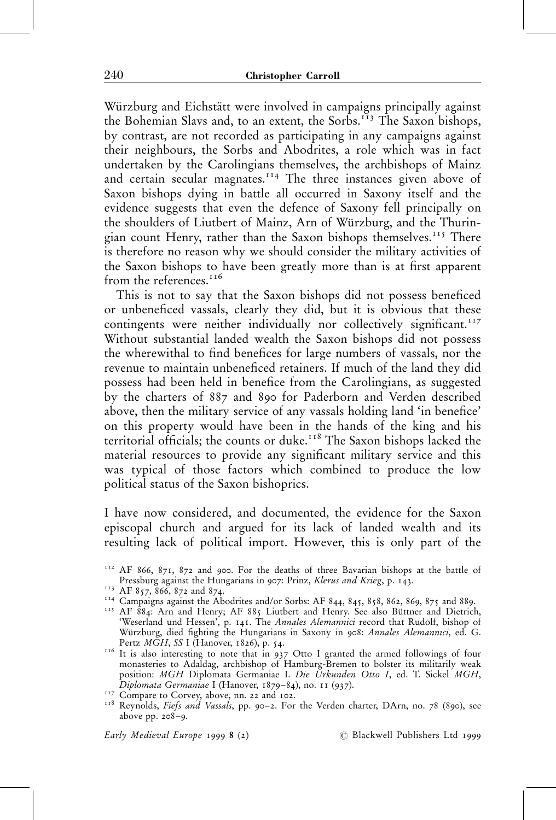Würzburg and Eichstätt were involved in campaigns principally against the Bohemian Slavs and, to an extent, the Sorbs.<sup>113</sup> The Saxon bishops, by contrast, are not recorded as participating in any campaigns against their neighbours, the Sorbs and Abodrites, a role which was in fact undertaken by the Carolingians themselves, the archbishops of Mainz and certain secular magnates.<sup>114</sup> The three instances given above of Saxon bishops dying in battle all occurred in Saxony itself and the evidence suggests that even the defence of Saxony fell principally on the shoulders of Liutbert of Mainz, Arn of Würzburg, and the Thuringian count Henry, rather than the Saxon bishops themselves.<sup>115</sup> There is therefore no reason why we should consider the military activities of the Saxon bishops to have been greatly more than is at first apparent from the references. $116$ 

This is not to say that the Saxon bishops did not possess beneficed or unbeneficed vassals, clearly they did, but it is obvious that these contingents were neither individually nor collectively significant.<sup>117</sup> Without substantial landed wealth the Saxon bishops did not possess the wherewithal to find benefices for large numbers of vassals, nor the revenue to maintain unbeneficed retainers. If much of the land they did possess had been held in benefice from the Carolingians, as suggested by the charters of 887 and 890 for Paderborn and Verden described above, then the military service of any vassals holding land 'in benefice' on this property would have been in the hands of the king and his territorial officials; the counts or duke.<sup>118</sup> The Saxon bishops lacked the material resources to provide any significant military service and this was typical of those factors which combined to produce the low political status of the Saxon bishoprics.

I have now considered, and documented, the evidence for the Saxon episcopal church and argued for its lack of landed wealth and its resulting lack of political import. However, this is only part of the

<sup>112</sup> AF 866, 871, 872 and 900. For the deaths of three Bavarian bishops at the battle of Pressburg against the Hungarians in 907: Prinz, *Klerus and Krieg*, p. 143.<br><sup>113</sup> AF 857, 866, 872 and 874.<br><sup>114</sup> Campaigns against the Abodrites and/or Sorbs: AF 844, 845, 858, 862, 869, 875 and 889.<br><sup>115</sup> AF 884: Arn and

<sup>&#</sup>x27;Weserland und Hessen', p. 141. The Annales Alemannici record that Rudolf, bishop of Würzburg, died fighting the Hungarians in Saxony in 908: Annales Alemannici, ed. G. Pertz  $M\tilde{G}H$ , SS I (Hanover, 1826), p. 54.<br><sup>116</sup> It is also interesting to note that in 937 Otto I granted the armed followings of four

monasteries to Adaldag, archbishop of Hamburg-Bremen to bolster its militarily weak position: MGH Diplomata Germaniae I. Die Urkunden Otto I, ed. T. Sickel MGH, Diplomata Germaniae I (Hanover, 1879–84), no. 11 (937).

<sup>&</sup>lt;sup>117</sup> Compare to Corvey, above, nn. 22 and 102.<br><sup>118</sup> Reynolds, *Fiefs and Vassals*, pp. 90–2. For the Verden charter, DArn, no. 78 (890), see above pp.  $208-9$ .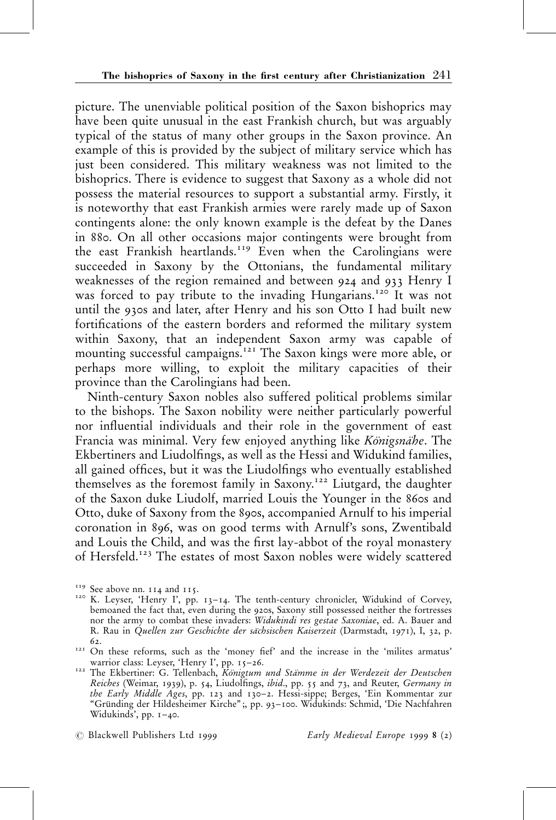picture. The unenviable political position of the Saxon bishoprics may have been quite unusual in the east Frankish church, but was arguably typical of the status of many other groups in the Saxon province. An example of this is provided by the subject of military service which has just been considered. This military weakness was not limited to the bishoprics. There is evidence to suggest that Saxony as a whole did not possess the material resources to support a substantial army. Firstly, it is noteworthy that east Frankish armies were rarely made up of Saxon contingents alone: the only known example is the defeat by the Danes in 880. On all other occasions major contingents were brought from the east Frankish heartlands.<sup>119</sup> Even when the Carolingians were succeeded in Saxony by the Ottonians, the fundamental military weaknesses of the region remained and between 924 and 933 Henry I was forced to pay tribute to the invading Hungarians.<sup>120</sup> It was not until the 930s and later, after Henry and his son Otto I had built new fortifications of the eastern borders and reformed the military system within Saxony, that an independent Saxon army was capable of mounting successful campaigns.121 The Saxon kings were more able, or perhaps more willing, to exploit the military capacities of their province than the Carolingians had been.

Ninth-century Saxon nobles also suffered political problems similar to the bishops. The Saxon nobility were neither particularly powerful nor influential individuals and their role in the government of east Francia was minimal. Very few enjoyed anything like Königsnähe. The Ekbertiners and Liudolfings, as well as the Hessi and Widukind families, all gained offices, but it was the Liudolfings who eventually established themselves as the foremost family in Saxony.<sup>122</sup> Liutgard, the daughter of the Saxon duke Liudolf, married Louis the Younger in the 860s and Otto, duke of Saxony from the 890s, accompanied Arnulf to his imperial coronation in 896, was on good terms with Arnulf's sons, Zwentibald and Louis the Child, and was the first lay-abbot of the royal monastery of Hersfeld.123 The estates of most Saxon nobles were widely scattered

 $\oslash$  Blackwell Publishers Ltd 1999  $\sc{Early}$  Medieval Europe 1999 8 (2)

<sup>&</sup>lt;sup>119</sup> See above nn. 114 and 115.<br><sup>120</sup> K. Leyser, `Henry I`, pp. 13–14. The tenth-century chronicler, Widukind of Corvey, bemoaned the fact that, even during the 920s, Saxony still possessed neither the fortresses nor the army to combat these invaders: Widukindi res gestae Saxoniae, ed. A. Bauer and R. Rau in Quellen zur Geschichte der sächsischen Kaiserzeit (Darmstadt, 1971), I, 32, p.

<sup>62. 121</sup> On these reforms, such as the 'money fief' and the increase in the 'milites armatus' warrior class: Leyser, 'Henry I', pp. 15–26.

<sup>&</sup>lt;sup>122</sup> The Ekbertiner: G. Tellenbach, Königtum und Stämme in der Werdezeit der Deutschen Reiches (Weimar, 1939), p. 54, Liudolfings, ibid., pp. 55 and 73, and Reuter, Germany in the Early Middle Ages, pp. 123 and 130-2. Hessi-sippe; Berges, `Ein Kommentar zur ``GruÈnding der Hildesheimer Kirche'' ;, pp. 93±100. Widukinds: Schmid, `Die Nachfahren Widukinds', pp.  $I = 40$ .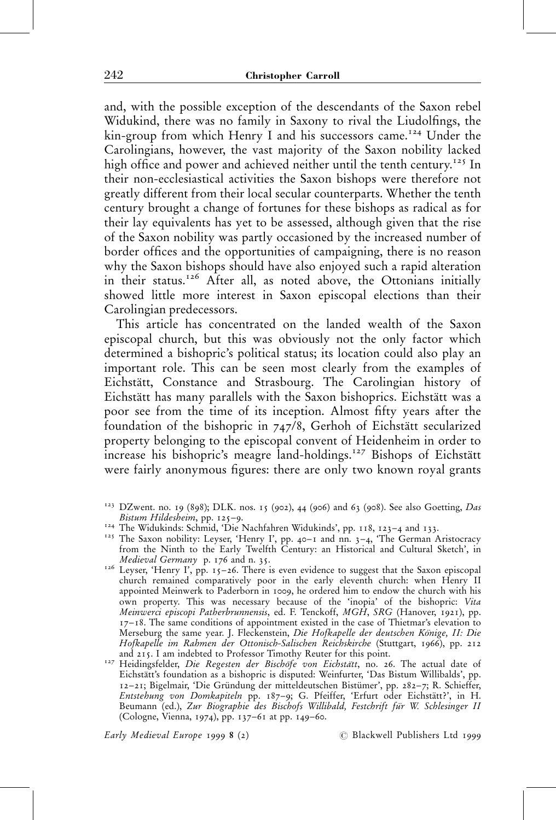and, with the possible exception of the descendants of the Saxon rebel Widukind, there was no family in Saxony to rival the Liudolfings, the kin-group from which Henry I and his successors came.<sup>124</sup> Under the Carolingians, however, the vast majority of the Saxon nobility lacked high office and power and achieved neither until the tenth century.<sup>125</sup> In their non-ecclesiastical activities the Saxon bishops were therefore not greatly different from their local secular counterparts. Whether the tenth century brought a change of fortunes for these bishops as radical as for their lay equivalents has yet to be assessed, although given that the rise of the Saxon nobility was partly occasioned by the increased number of border offices and the opportunities of campaigning, there is no reason why the Saxon bishops should have also enjoyed such a rapid alteration in their status.<sup>126</sup> After all, as noted above, the Ottonians initially showed little more interest in Saxon episcopal elections than their Carolingian predecessors.

This article has concentrated on the landed wealth of the Saxon episcopal church, but this was obviously not the only factor which determined a bishopric's political status; its location could also play an important role. This can be seen most clearly from the examples of Eichstätt, Constance and Strasbourg. The Carolingian history of Eichstätt has many parallels with the Saxon bishoprics. Eichstätt was a poor see from the time of its inception. Almost fifty years after the foundation of the bishopric in  $747/8$ , Gerhoh of Eichstätt secularized property belonging to the episcopal convent of Heidenheim in order to increase his bishopric's meagre land-holdings.<sup>127</sup> Bishops of Eichstätt were fairly anonymous figures: there are only two known royal grants

<sup>&</sup>lt;sup>123</sup> DZwent. no. 19 (898); DLK. nos. 15 (902), 44 (906) and 63 (908). See also Goetting, *Das Bistum Hildesheim*, pp. 125–9.

*Bistum Hildesheim*, pp. 125–9.<br><sup>124</sup> The Widukinds: Schmid, `Die Nachfahren Widukinds', pp. 118, 123–4 and 133.<br><sup>125</sup> The Saxon nobility: Leyser, `Henry I', pp. 40–1 and nn. 3–4, `The German Aristocracy from the Ninth to the Early Twelfth Century: an Historical and Cultural Sketch', in

*Medieval Germany* p. 176 and n. 35. 126 Leyser, `Henry I', pp. 15–26. There is even evidence to suggest that the Saxon episcopal church remained comparatively poor in the early eleventh church: when Henry II appointed Meinwerk to Paderborn in 1009, he ordered him to endow the church with his own property. This was necessary because of the 'inopia' of the bishopric: Vita Meinwerci episcopi Patherbrunnensis, ed. F. Tenckoff, MGH, SRG (Hanover, 1921), pp. 17-18. The same conditions of appointment existed in the case of Thietmar's elevation to Merseburg the same year. J. Fleckenstein, Die Hofkapelle der deutschen Könige, II: Die Hofkapelle im Rahmen der Ottonisch-Salischen Reichskirche (Stuttgart, 1966), pp. 212

and 215. I am indebted to Professor Timothy Reuter for this point.<br><sup>127</sup> Heidingsfelder, *Die Regesten der Bischöfe von Eichstätt*, no. 26. The actual date of Eichstätt's foundation as a bishopric is disputed: Weinfurter, 'Das Bistum Willibalds', pp. 12-21; Bigelmair, 'Die Gründung der mitteldeutschen Bistümer', pp. 282-7; R. Schieffer, E*ntstehung von Domkapiteln* pp. 187–9; G. Pfeiffer, 'Erfurt oder Eichstätt?', in H. Beumann (ed.), Z*ur Biographie des Bischofs Willibald, Festchrift für W. Schlesinger II* (Cologne, Vienna, 1974), pp. 137-61 at pp. 149-60.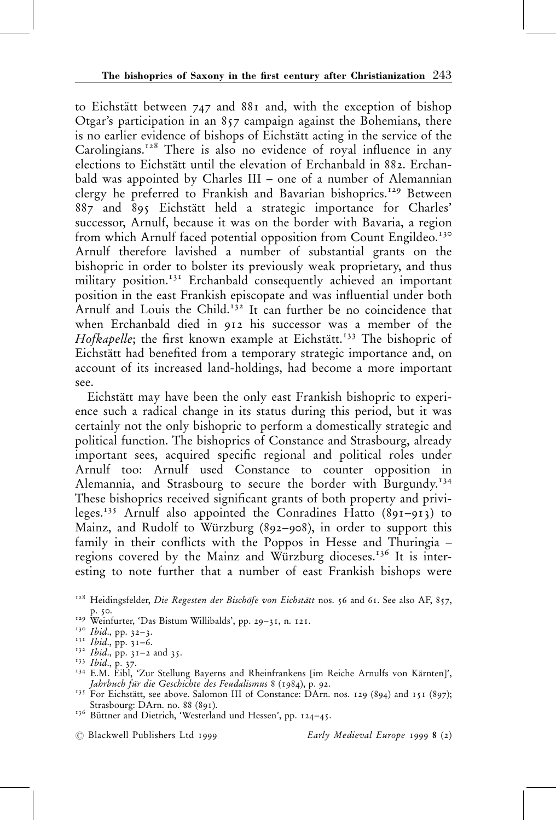to Eichstätt between  $747$  and  $881$  and, with the exception of bishop Otgar's participation in an 857 campaign against the Bohemians, there is no earlier evidence of bishops of Eichstätt acting in the service of the Carolingians.<sup>128</sup> There is also no evidence of royal influence in any elections to Eichstätt until the elevation of Erchanbald in 882. Erchanbald was appointed by Charles III  $-$  one of a number of Alemannian clergy he preferred to Frankish and Bavarian bishoprics.<sup>129</sup> Between 887 and 895 Eichstätt held a strategic importance for Charles' successor, Arnulf, because it was on the border with Bavaria, a region from which Arnulf faced potential opposition from Count Engildeo.<sup>130</sup> Arnulf therefore lavished a number of substantial grants on the bishopric in order to bolster its previously weak proprietary, and thus military position.<sup>131</sup> Erchanbald consequently achieved an important position in the east Frankish episcopate and was influential under both Arnulf and Louis the Child.<sup>132</sup> It can further be no coincidence that when Erchanbald died in 912 his successor was a member of the Hofkapelle; the first known example at Eichstätt.<sup>133</sup> The bishopric of Eichstätt had benefited from a temporary strategic importance and, on account of its increased land-holdings, had become a more important see.

Eichstätt may have been the only east Frankish bishopric to experience such a radical change in its status during this period, but it was certainly not the only bishopric to perform a domestically strategic and political function. The bishoprics of Constance and Strasbourg, already important sees, acquired specific regional and political roles under Arnulf too: Arnulf used Constance to counter opposition in Alemannia, and Strasbourg to secure the border with Burgundy.<sup>134</sup> These bishoprics received significant grants of both property and privileges.<sup>135</sup> Arnulf also appointed the Conradines Hatto (891-913) to Mainz, and Rudolf to Würzburg (892-908), in order to support this family in their conflicts with the Poppos in Hesse and Thuringia  $$ regions covered by the Mainz and Würzburg dioceses.<sup>136</sup> It is interesting to note further that a number of east Frankish bishops were

 $\oslash$  Blackwell Publishers Ltd 1999  $\sc{Early}$  Medieval Europe 1999 8 (2)

<sup>&</sup>lt;sup>128</sup> Heidingsfelder, Die Regesten der Bischöfe von Eichstätt nos. 56 and 61. See also AF, 857,

p. 50.<br><sup>129</sup> Weinfurter, 'Das Bistum Willibalds', pp. 29–31, n. 121.<br><sup>139</sup> Ibid., pp. 32–3.<br><sup>131</sup> Ibid., pp. 31–6.<br><sup>132</sup> Ibid., p. 37–2 and 35.<br><sup>133</sup> Ibid., p. 37–<br><sup>134</sup> E.M. Eibl, 'Zur Stellung Bayerns and Rheinfrankens [

<sup>&</sup>lt;sup>135</sup> For Eichstätt, see above. Salomon III of Constance: DArn. nos. 129 (894) and 151 (897); Strasbourg: DArn. no. 88 (891).

<sup>136</sup> Büttner and Dietrich, 'Westerland und Hessen', pp. 124-45.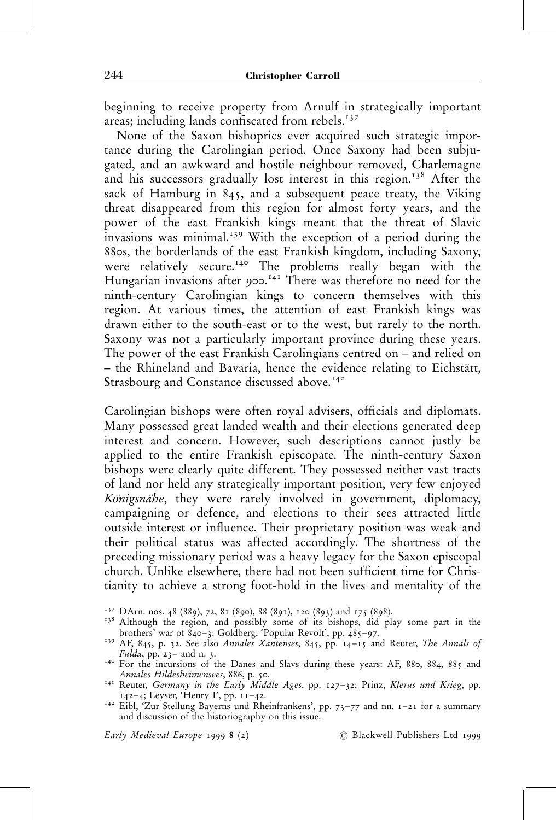beginning to receive property from Arnulf in strategically important areas; including lands confiscated from rebels.<sup>137</sup>

None of the Saxon bishoprics ever acquired such strategic importance during the Carolingian period. Once Saxony had been subjugated, and an awkward and hostile neighbour removed, Charlemagne and his successors gradually lost interest in this region.<sup>138</sup> After the sack of Hamburg in 845, and a subsequent peace treaty, the Viking threat disappeared from this region for almost forty years, and the power of the east Frankish kings meant that the threat of Slavic  $invasions$  was minimal.<sup>139</sup> With the exception of a period during the 880s, the borderlands of the east Frankish kingdom, including Saxony, were relatively secure.<sup>140</sup> The problems really began with the Hungarian invasions after 900.<sup>141</sup> There was therefore no need for the ninth-century Carolingian kings to concern themselves with this region. At various times, the attention of east Frankish kings was drawn either to the south-east or to the west, but rarely to the north. Saxony was not a particularly important province during these years. The power of the east Frankish Carolingians centred on  $-$  and relied on  $-$  the Rhineland and Bavaria, hence the evidence relating to Eichstätt, Strasbourg and Constance discussed above.<sup>142</sup>

Carolingian bishops were often royal advisers, officials and diplomats. Many possessed great landed wealth and their elections generated deep interest and concern. However, such descriptions cannot justly be applied to the entire Frankish episcopate. The ninth-century Saxon bishops were clearly quite different. They possessed neither vast tracts of land nor held any strategically important position, very few enjoyed Königsnähe, they were rarely involved in government, diplomacy, campaigning or defence, and elections to their sees attracted little outside interest or influence. Their proprietary position was weak and their political status was affected accordingly. The shortness of the preceding missionary period was a heavy legacy for the Saxon episcopal church. Unlike elsewhere, there had not been sufficient time for Christianity to achieve a strong foot-hold in the lives and mentality of the

<sup>&</sup>lt;sup>137</sup> DArn. nos. 48 (889), 72, 81 (890), 88 (891), 120 (893) and 175 (898).<br><sup>138</sup> Although the region, and possibly some of its bishops, did play some part in the brothers' war of 840-3: Goldberg, 'Popular Revolt', pp. 48

<sup>&</sup>lt;sup>139</sup> AF, 845, p. 32. See also Annales Xantenses, 845, pp. 14-15 and Reuter, The Annals of

Fulda, pp. 23- and n. 3.<br><sup>140</sup> For the incursions of the Danes and Slavs during these years: AF, 880, 884, 885 and *Annales Hildesheimensees*, 886, p. 50.

<sup>&</sup>lt;sup>141</sup> Reuter, *Germany in the Early Middle Ages*, pp. 127-32; Prinz, *Klerus und Krieg*, pp. 142-4; Leyser, 'Henry I', pp. 11-42.

<sup>&</sup>lt;sup>142</sup> Eibl, 'Zur Stellung Bayerns und Rheinfrankens', pp. 73-77 and nn. 1-21 for a summary and discussion of the historiography on this issue.